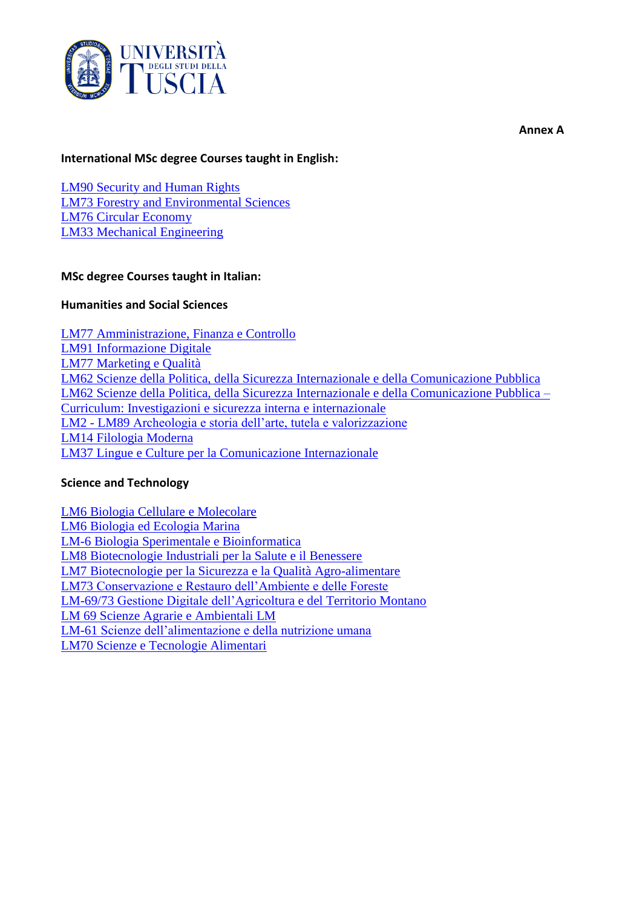

#### **Annex A**

### **International MSc degree Courses taught in English:**

[LM90 Security and Human Rights](https://unitusorienta.unitus.it/en/course/security-and-human-rights/)  [LM73 Forestry and Environmental Sciences](http://www.unitus.it/en/dipartimento/dibaf/scienze-forestali-e-ambientali/articolo/presentazione6) [LM76 Circular Economy](https://unitusorienta.unitus.it/en/course/circular-economy/) [LM33 Mechanical Engineering](https://unitusorienta.unitus.it/en/course/mechanical-engineering/)

### **MSc degree Courses taught in Italian:**

### **Humanities and Social Sciences**

LM77 [Amministrazione, Finanza e Controllo](https://unitusorienta.unitus.it/course/amministrazione-finanza-e-controllo/) LM91 [Informazione Digitale](https://unitusorienta.unitus.it/course/informazione-digitale/) LM77 [Marketing e Qualità](https://unitusorienta.unitus.it/course/marketing-e-qualita/) LM62 [Scienze della Politica, della Sicurezza Internazionale e della Comunicazione Pubblica](https://unitusorienta.unitus.it/course/scienze-della-politica-della-sicurezza-internazionale-e-della-comunicazione-pubblica/) LM62 [Scienze della Politica, della Sicurezza Internazionale e della Comunicazione Pubblica –](https://unitusorienta.unitus.it/course/scienze-della-politica-della-sicurezza-internazionale-e-della-comunicazione-pubblica-curriculum-investigazioni-e-sicurezza-interna-e-internazionale/) [Curriculum: Investigazioni e sicurezza interna e internazionale](https://unitusorienta.unitus.it/course/scienze-della-politica-della-sicurezza-internazionale-e-della-comunicazione-pubblica-curriculum-investigazioni-e-sicurezza-interna-e-internazionale/) LM2 - LM89 [Archeologia e storia dell'arte, tutela e valorizzazione](https://unitusorienta.unitus.it/course/archeologia-e-storia-dellarte-tutela-e-valorizzazione/) LM14 [Filologia Moderna](https://unitusorienta.unitus.it/course/filologia-moderna/) LM37 [Lingue e Culture per la Comunicazione Internazionale](https://unitusorienta.unitus.it/course/lingue-e-culture-per-la-comunicazione-internazionale/)

### **Science and Technology**

LM6 [Biologia Cellulare e Molecolare](https://unitusorienta.unitus.it/course/biologia-cellulare-e-molecolare/) LM6 [Biologia ed Ecologia Marina](https://unitusorienta.unitus.it/course/biologia-ed-ecologia-marina/) LM-6 [Biologia Sperimentale e Bioinformatica](https://unitusorienta.unitus.it/course/biologia-sperimentale-e-bioinformatica/) LM8 [Biotecnologie Industriali per la Salute e il Benessere](https://unitusorienta.unitus.it/course/biotecnologie-industriali-per-la-salute-e-il-benessere/) LM7 [Biotecnologie per la Sicurezza e la Qualità Agro-alimentare](https://unitusorienta.unitus.it/course/biotecnologie-per-la-sicurezza-e-la-qualita-agro-alimentare/) LM73 [Conservazione e Restauro dell'Ambiente e delle Foreste](https://unitusorienta.unitus.it/course/conservazione-e-restauro-dellambiente-e-delle-foreste/) LM-69/73 [Gestione Digitale dell'Agricoltura e del Territorio Montano](https://unitusorienta.unitus.it/course/gestione-digitale-dellagricoltura-e-del-territorio-montano/) LM 69 [Scienze Agrarie e Ambientali LM](https://unitusorienta.unitus.it/course/scienze-agrarie-e-ambientali-mag/) LM-61 [Scienze dell'alimentazione e della nutrizione umana](https://unitusorienta.unitus.it/course/scienze-dellalimentazione-e-della-nutrizione-umana/) LM70 [Scienze e Tecnologie Alimentari](https://unitusorienta.unitus.it/course/scienze-e-tecnologie-alimentari/)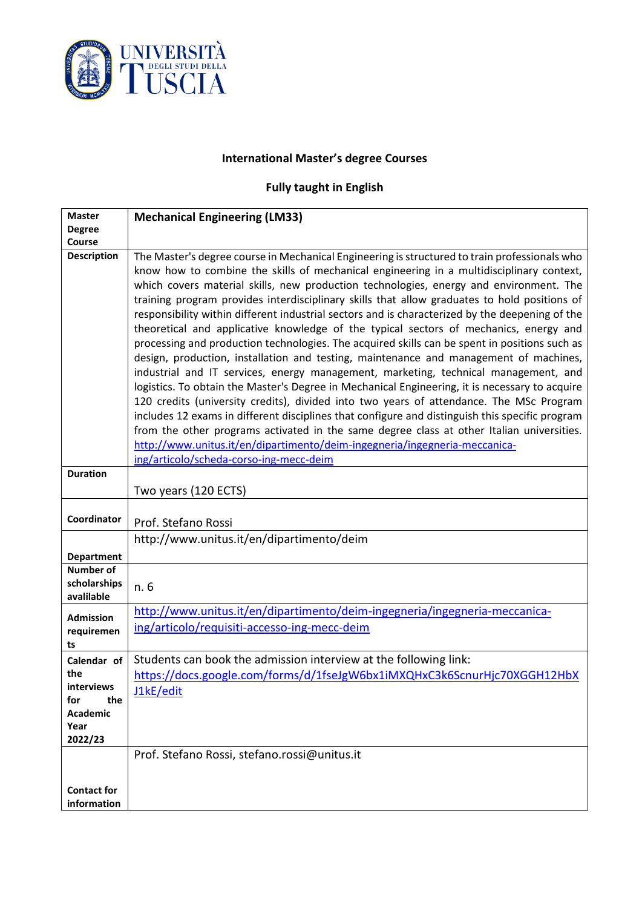

## **International Master's degree Courses**

# **Fully taught in English**

| <b>Master</b>                                                                               | <b>Mechanical Engineering (LM33)</b>                                                                                                                                                                                                                                                                                                                                                                                                                                                                                                                                                                                                                                                                                                                                                                                                                                                                                                                                                                                                                                                                                                                                                                                                                                                                                                                                                   |
|---------------------------------------------------------------------------------------------|----------------------------------------------------------------------------------------------------------------------------------------------------------------------------------------------------------------------------------------------------------------------------------------------------------------------------------------------------------------------------------------------------------------------------------------------------------------------------------------------------------------------------------------------------------------------------------------------------------------------------------------------------------------------------------------------------------------------------------------------------------------------------------------------------------------------------------------------------------------------------------------------------------------------------------------------------------------------------------------------------------------------------------------------------------------------------------------------------------------------------------------------------------------------------------------------------------------------------------------------------------------------------------------------------------------------------------------------------------------------------------------|
| <b>Degree</b>                                                                               |                                                                                                                                                                                                                                                                                                                                                                                                                                                                                                                                                                                                                                                                                                                                                                                                                                                                                                                                                                                                                                                                                                                                                                                                                                                                                                                                                                                        |
| Course                                                                                      |                                                                                                                                                                                                                                                                                                                                                                                                                                                                                                                                                                                                                                                                                                                                                                                                                                                                                                                                                                                                                                                                                                                                                                                                                                                                                                                                                                                        |
| <b>Description</b>                                                                          | The Master's degree course in Mechanical Engineering is structured to train professionals who<br>know how to combine the skills of mechanical engineering in a multidisciplinary context,<br>which covers material skills, new production technologies, energy and environment. The<br>training program provides interdisciplinary skills that allow graduates to hold positions of<br>responsibility within different industrial sectors and is characterized by the deepening of the<br>theoretical and applicative knowledge of the typical sectors of mechanics, energy and<br>processing and production technologies. The acquired skills can be spent in positions such as<br>design, production, installation and testing, maintenance and management of machines,<br>industrial and IT services, energy management, marketing, technical management, and<br>logistics. To obtain the Master's Degree in Mechanical Engineering, it is necessary to acquire<br>120 credits (university credits), divided into two years of attendance. The MSc Program<br>includes 12 exams in different disciplines that configure and distinguish this specific program<br>from the other programs activated in the same degree class at other Italian universities.<br>http://www.unitus.it/en/dipartimento/deim-ingegneria/ingegneria-meccanica-<br>ing/articolo/scheda-corso-ing-mecc-deim |
| <b>Duration</b>                                                                             |                                                                                                                                                                                                                                                                                                                                                                                                                                                                                                                                                                                                                                                                                                                                                                                                                                                                                                                                                                                                                                                                                                                                                                                                                                                                                                                                                                                        |
|                                                                                             | Two years (120 ECTS)                                                                                                                                                                                                                                                                                                                                                                                                                                                                                                                                                                                                                                                                                                                                                                                                                                                                                                                                                                                                                                                                                                                                                                                                                                                                                                                                                                   |
| Coordinator                                                                                 | Prof. Stefano Rossi<br>http://www.unitus.it/en/dipartimento/deim                                                                                                                                                                                                                                                                                                                                                                                                                                                                                                                                                                                                                                                                                                                                                                                                                                                                                                                                                                                                                                                                                                                                                                                                                                                                                                                       |
| <b>Department</b>                                                                           |                                                                                                                                                                                                                                                                                                                                                                                                                                                                                                                                                                                                                                                                                                                                                                                                                                                                                                                                                                                                                                                                                                                                                                                                                                                                                                                                                                                        |
| <b>Number of</b><br>scholarships<br>avalilable                                              | n. 6                                                                                                                                                                                                                                                                                                                                                                                                                                                                                                                                                                                                                                                                                                                                                                                                                                                                                                                                                                                                                                                                                                                                                                                                                                                                                                                                                                                   |
| <b>Admission</b><br>requiremen<br>ts                                                        | http://www.unitus.it/en/dipartimento/deim-ingegneria/ingegneria-meccanica-<br>ing/articolo/requisiti-accesso-ing-mecc-deim                                                                                                                                                                                                                                                                                                                                                                                                                                                                                                                                                                                                                                                                                                                                                                                                                                                                                                                                                                                                                                                                                                                                                                                                                                                             |
| Calendar of<br>the<br><b>interviews</b><br>for<br>the<br><b>Academic</b><br>Year<br>2022/23 | Students can book the admission interview at the following link:<br>https://docs.google.com/forms/d/1fseJgW6bx1iMXQHxC3k6ScnurHjc70XGGH12HbX<br><u>J1kE/edit</u>                                                                                                                                                                                                                                                                                                                                                                                                                                                                                                                                                                                                                                                                                                                                                                                                                                                                                                                                                                                                                                                                                                                                                                                                                       |
| <b>Contact for</b><br>information                                                           | Prof. Stefano Rossi, stefano.rossi@unitus.it                                                                                                                                                                                                                                                                                                                                                                                                                                                                                                                                                                                                                                                                                                                                                                                                                                                                                                                                                                                                                                                                                                                                                                                                                                                                                                                                           |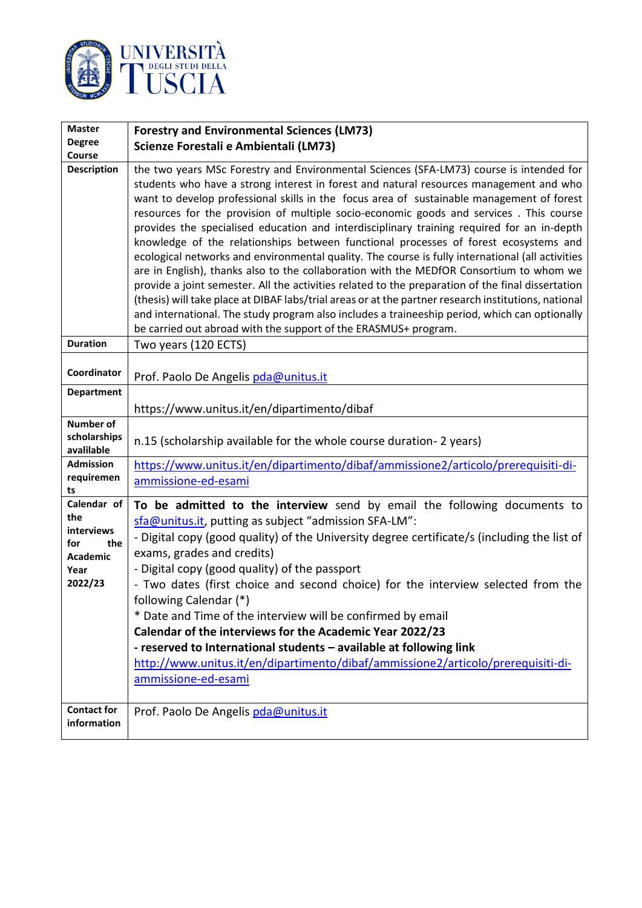

| <b>Master</b>      | <b>Forestry and Environmental Sciences (LM73)</b>                                                                                                                                  |
|--------------------|------------------------------------------------------------------------------------------------------------------------------------------------------------------------------------|
| <b>Degree</b>      | Scienze Forestali e Ambientali (LM73)                                                                                                                                              |
| Course             |                                                                                                                                                                                    |
| <b>Description</b> | the two years MSc Forestry and Environmental Sciences (SFA-LM73) course is intended for                                                                                            |
|                    | students who have a strong interest in forest and natural resources management and who                                                                                             |
|                    | want to develop professional skills in the focus area of sustainable management of forest                                                                                          |
|                    | resources for the provision of multiple socio-economic goods and services. This course                                                                                             |
|                    | provides the specialised education and interdisciplinary training required for an in-depth<br>knowledge of the relationships between functional processes of forest ecosystems and |
|                    | ecological networks and environmental quality. The course is fully international (all activities                                                                                   |
|                    | are in English), thanks also to the collaboration with the MEDfOR Consortium to whom we                                                                                            |
|                    | provide a joint semester. All the activities related to the preparation of the final dissertation                                                                                  |
|                    | (thesis) will take place at DIBAF labs/trial areas or at the partner research institutions, national                                                                               |
|                    | and international. The study program also includes a traineeship period, which can optionally                                                                                      |
|                    | be carried out abroad with the support of the ERASMUS+ program.                                                                                                                    |
| <b>Duration</b>    | Two years (120 ECTS)                                                                                                                                                               |
|                    |                                                                                                                                                                                    |
| Coordinator        | Prof. Paolo De Angelis pda@unitus.it                                                                                                                                               |
| <b>Department</b>  |                                                                                                                                                                                    |
|                    | https://www.unitus.it/en/dipartimento/dibaf                                                                                                                                        |
| <b>Number of</b>   |                                                                                                                                                                                    |
| scholarships       |                                                                                                                                                                                    |
| avalilable         | n.15 (scholarship available for the whole course duration-2 years)                                                                                                                 |
| <b>Admission</b>   | https://www.unitus.it/en/dipartimento/dibaf/ammissione2/articolo/prerequisiti-di-                                                                                                  |
| requiremen         | ammissione-ed-esami                                                                                                                                                                |
| ts<br>Calendar of  |                                                                                                                                                                                    |
| the                | To be admitted to the interview send by email the following documents to                                                                                                           |
| interviews         | sfa@unitus.it, putting as subject "admission SFA-LM":                                                                                                                              |
| the<br>for         | - Digital copy (good quality) of the University degree certificate/s (including the list of                                                                                        |
| <b>Academic</b>    | exams, grades and credits)                                                                                                                                                         |
| Year               | - Digital copy (good quality) of the passport                                                                                                                                      |
| 2022/23            | - Two dates (first choice and second choice) for the interview selected from the                                                                                                   |
|                    | following Calendar (*)                                                                                                                                                             |
|                    | * Date and Time of the interview will be confirmed by email                                                                                                                        |
|                    | Calendar of the interviews for the Academic Year 2022/23                                                                                                                           |
|                    | - reserved to International students - available at following link                                                                                                                 |
|                    | http://www.unitus.it/en/dipartimento/dibaf/ammissione2/articolo/prerequisiti-di-                                                                                                   |
|                    | ammissione-ed-esami                                                                                                                                                                |
|                    |                                                                                                                                                                                    |
| <b>Contact for</b> | Prof. Paolo De Angelis pda@unitus.it                                                                                                                                               |
| information        |                                                                                                                                                                                    |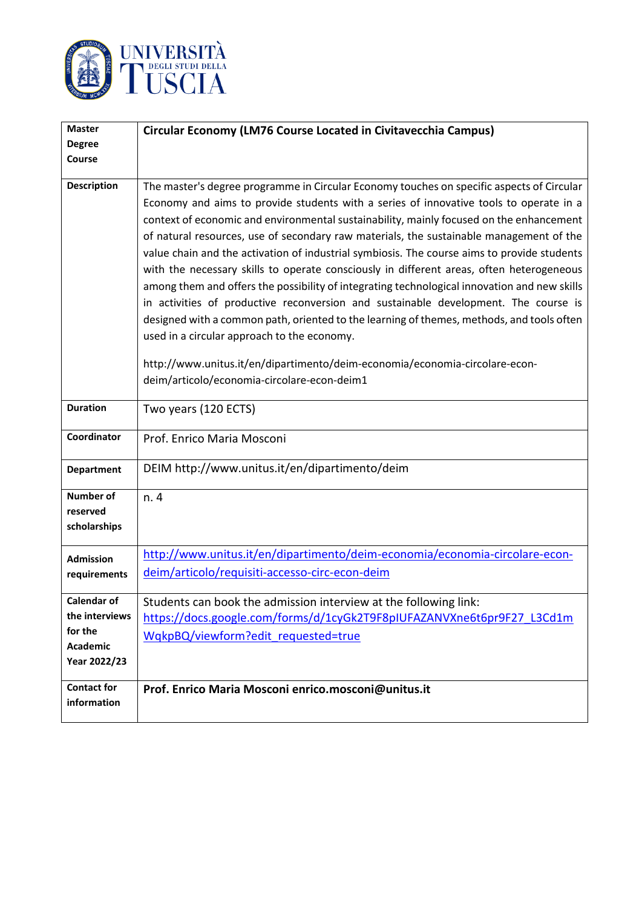

| <b>Master</b>      | Circular Economy (LM76 Course Located in Civitavecchia Campus)                               |
|--------------------|----------------------------------------------------------------------------------------------|
| <b>Degree</b>      |                                                                                              |
| Course             |                                                                                              |
| <b>Description</b> | The master's degree programme in Circular Economy touches on specific aspects of Circular    |
|                    | Economy and aims to provide students with a series of innovative tools to operate in a       |
|                    | context of economic and environmental sustainability, mainly focused on the enhancement      |
|                    | of natural resources, use of secondary raw materials, the sustainable management of the      |
|                    | value chain and the activation of industrial symbiosis. The course aims to provide students  |
|                    | with the necessary skills to operate consciously in different areas, often heterogeneous     |
|                    | among them and offers the possibility of integrating technological innovation and new skills |
|                    | in activities of productive reconversion and sustainable development. The course is          |
|                    | designed with a common path, oriented to the learning of themes, methods, and tools often    |
|                    | used in a circular approach to the economy.                                                  |
|                    | http://www.unitus.it/en/dipartimento/deim-economia/economia-circolare-econ-                  |
|                    | deim/articolo/economia-circolare-econ-deim1                                                  |
| <b>Duration</b>    | Two years (120 ECTS)                                                                         |
|                    |                                                                                              |
| Coordinator        | Prof. Enrico Maria Mosconi                                                                   |
| <b>Department</b>  | DEIM http://www.unitus.it/en/dipartimento/deim                                               |
| <b>Number of</b>   | n. 4                                                                                         |
| reserved           |                                                                                              |
| scholarships       |                                                                                              |
| <b>Admission</b>   | http://www.unitus.it/en/dipartimento/deim-economia/economia-circolare-econ-                  |
| requirements       | deim/articolo/requisiti-accesso-circ-econ-deim                                               |
| Calendar of        | Students can book the admission interview at the following link:                             |
| the interviews     | https://docs.google.com/forms/d/1cyGk2T9F8pIUFAZANVXne6t6pr9F27 L3Cd1m                       |
| for the            | WqkpBQ/viewform?edit requested=true                                                          |
| <b>Academic</b>    |                                                                                              |
| Year 2022/23       |                                                                                              |
| <b>Contact for</b> | Prof. Enrico Maria Mosconi enrico.mosconi@unitus.it                                          |
| information        |                                                                                              |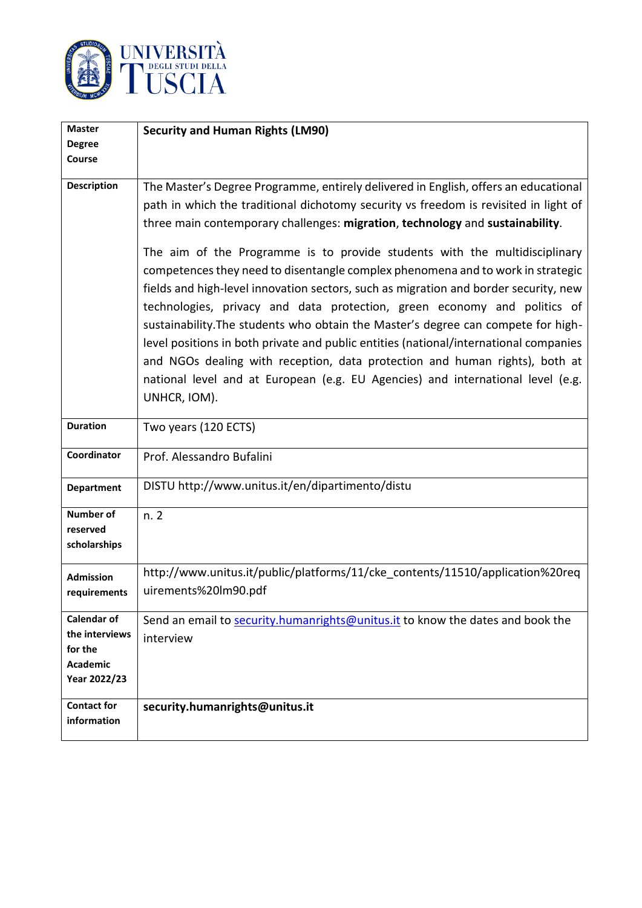

| <b>Master</b>                                                                      | <b>Security and Human Rights (LM90)</b>                                                                                                                                                                                                                                                                                                                                                                                                                                                                                                                                                                                                                                                                                                                                                                                                                                                                                                                           |
|------------------------------------------------------------------------------------|-------------------------------------------------------------------------------------------------------------------------------------------------------------------------------------------------------------------------------------------------------------------------------------------------------------------------------------------------------------------------------------------------------------------------------------------------------------------------------------------------------------------------------------------------------------------------------------------------------------------------------------------------------------------------------------------------------------------------------------------------------------------------------------------------------------------------------------------------------------------------------------------------------------------------------------------------------------------|
| <b>Degree</b>                                                                      |                                                                                                                                                                                                                                                                                                                                                                                                                                                                                                                                                                                                                                                                                                                                                                                                                                                                                                                                                                   |
| Course                                                                             |                                                                                                                                                                                                                                                                                                                                                                                                                                                                                                                                                                                                                                                                                                                                                                                                                                                                                                                                                                   |
| <b>Description</b>                                                                 | The Master's Degree Programme, entirely delivered in English, offers an educational<br>path in which the traditional dichotomy security vs freedom is revisited in light of<br>three main contemporary challenges: migration, technology and sustainability.<br>The aim of the Programme is to provide students with the multidisciplinary<br>competences they need to disentangle complex phenomena and to work in strategic<br>fields and high-level innovation sectors, such as migration and border security, new<br>technologies, privacy and data protection, green economy and politics of<br>sustainability. The students who obtain the Master's degree can compete for high-<br>level positions in both private and public entities (national/international companies<br>and NGOs dealing with reception, data protection and human rights), both at<br>national level and at European (e.g. EU Agencies) and international level (e.g.<br>UNHCR, IOM). |
| <b>Duration</b>                                                                    | Two years (120 ECTS)                                                                                                                                                                                                                                                                                                                                                                                                                                                                                                                                                                                                                                                                                                                                                                                                                                                                                                                                              |
| Coordinator                                                                        | Prof. Alessandro Bufalini                                                                                                                                                                                                                                                                                                                                                                                                                                                                                                                                                                                                                                                                                                                                                                                                                                                                                                                                         |
| <b>Department</b>                                                                  | DISTU http://www.unitus.it/en/dipartimento/distu                                                                                                                                                                                                                                                                                                                                                                                                                                                                                                                                                                                                                                                                                                                                                                                                                                                                                                                  |
| <b>Number of</b><br>reserved<br>scholarships                                       | n. 2                                                                                                                                                                                                                                                                                                                                                                                                                                                                                                                                                                                                                                                                                                                                                                                                                                                                                                                                                              |
| <b>Admission</b><br>requirements                                                   | http://www.unitus.it/public/platforms/11/cke contents/11510/application%20req<br>uirements%20lm90.pdf                                                                                                                                                                                                                                                                                                                                                                                                                                                                                                                                                                                                                                                                                                                                                                                                                                                             |
| <b>Calendar of</b><br>the interviews<br>for the<br><b>Academic</b><br>Year 2022/23 | Send an email to security.humanrights@unitus.it to know the dates and book the<br>interview                                                                                                                                                                                                                                                                                                                                                                                                                                                                                                                                                                                                                                                                                                                                                                                                                                                                       |
| <b>Contact for</b><br>information                                                  | security.humanrights@unitus.it                                                                                                                                                                                                                                                                                                                                                                                                                                                                                                                                                                                                                                                                                                                                                                                                                                                                                                                                    |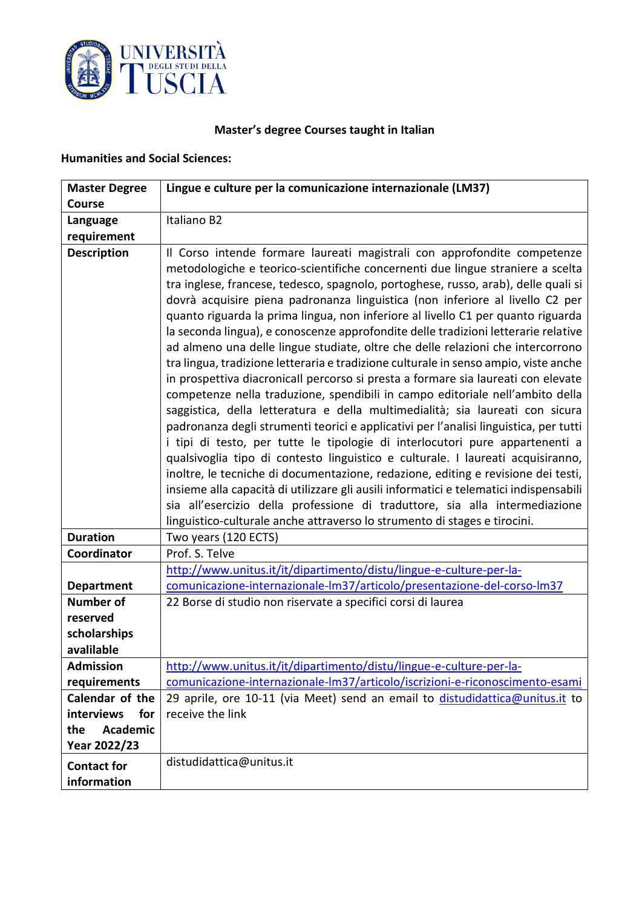

# **Master's degree Courses taught in Italian**

### **Humanities and Social Sciences:**

| <b>Master Degree</b>              | Lingue e culture per la comunicazione internazionale (LM37)                                                                                                                                                                                                                                                                                                                                                                                                                                                                                                                                                                                                                                                                                                                                                                                                                                                                                                                                                                                                                                                                                                                                                                                                                                                                                                                                                                                                                                                                                          |
|-----------------------------------|------------------------------------------------------------------------------------------------------------------------------------------------------------------------------------------------------------------------------------------------------------------------------------------------------------------------------------------------------------------------------------------------------------------------------------------------------------------------------------------------------------------------------------------------------------------------------------------------------------------------------------------------------------------------------------------------------------------------------------------------------------------------------------------------------------------------------------------------------------------------------------------------------------------------------------------------------------------------------------------------------------------------------------------------------------------------------------------------------------------------------------------------------------------------------------------------------------------------------------------------------------------------------------------------------------------------------------------------------------------------------------------------------------------------------------------------------------------------------------------------------------------------------------------------------|
| Course                            |                                                                                                                                                                                                                                                                                                                                                                                                                                                                                                                                                                                                                                                                                                                                                                                                                                                                                                                                                                                                                                                                                                                                                                                                                                                                                                                                                                                                                                                                                                                                                      |
| Language                          | Italiano B2                                                                                                                                                                                                                                                                                                                                                                                                                                                                                                                                                                                                                                                                                                                                                                                                                                                                                                                                                                                                                                                                                                                                                                                                                                                                                                                                                                                                                                                                                                                                          |
| requirement                       |                                                                                                                                                                                                                                                                                                                                                                                                                                                                                                                                                                                                                                                                                                                                                                                                                                                                                                                                                                                                                                                                                                                                                                                                                                                                                                                                                                                                                                                                                                                                                      |
| <b>Description</b>                | Il Corso intende formare laureati magistrali con approfondite competenze<br>metodologiche e teorico-scientifiche concernenti due lingue straniere a scelta<br>tra inglese, francese, tedesco, spagnolo, portoghese, russo, arab), delle quali si<br>dovrà acquisire piena padronanza linguistica (non inferiore al livello C2 per<br>quanto riguarda la prima lingua, non inferiore al livello C1 per quanto riguarda<br>la seconda lingua), e conoscenze approfondite delle tradizioni letterarie relative<br>ad almeno una delle lingue studiate, oltre che delle relazioni che intercorrono<br>tra lingua, tradizione letteraria e tradizione culturale in senso ampio, viste anche<br>in prospettiva diacronicall percorso si presta a formare sia laureati con elevate<br>competenze nella traduzione, spendibili in campo editoriale nell'ambito della<br>saggistica, della letteratura e della multimedialità; sia laureati con sicura<br>padronanza degli strumenti teorici e applicativi per l'analisi linguistica, per tutti<br>i tipi di testo, per tutte le tipologie di interlocutori pure appartenenti a<br>qualsivoglia tipo di contesto linguistico e culturale. I laureati acquisiranno,<br>inoltre, le tecniche di documentazione, redazione, editing e revisione dei testi,<br>insieme alla capacità di utilizzare gli ausili informatici e telematici indispensabili<br>sia all'esercizio della professione di traduttore, sia alla intermediazione<br>linguistico-culturale anche attraverso lo strumento di stages e tirocini. |
| <b>Duration</b>                   | Two years (120 ECTS)                                                                                                                                                                                                                                                                                                                                                                                                                                                                                                                                                                                                                                                                                                                                                                                                                                                                                                                                                                                                                                                                                                                                                                                                                                                                                                                                                                                                                                                                                                                                 |
| Coordinator                       | Prof. S. Telve                                                                                                                                                                                                                                                                                                                                                                                                                                                                                                                                                                                                                                                                                                                                                                                                                                                                                                                                                                                                                                                                                                                                                                                                                                                                                                                                                                                                                                                                                                                                       |
| <b>Department</b>                 | http://www.unitus.it/it/dipartimento/distu/lingue-e-culture-per-la-<br>comunicazione-internazionale-lm37/articolo/presentazione-del-corso-lm37                                                                                                                                                                                                                                                                                                                                                                                                                                                                                                                                                                                                                                                                                                                                                                                                                                                                                                                                                                                                                                                                                                                                                                                                                                                                                                                                                                                                       |
| <b>Number of</b>                  | 22 Borse di studio non riservate a specifici corsi di laurea                                                                                                                                                                                                                                                                                                                                                                                                                                                                                                                                                                                                                                                                                                                                                                                                                                                                                                                                                                                                                                                                                                                                                                                                                                                                                                                                                                                                                                                                                         |
| reserved                          |                                                                                                                                                                                                                                                                                                                                                                                                                                                                                                                                                                                                                                                                                                                                                                                                                                                                                                                                                                                                                                                                                                                                                                                                                                                                                                                                                                                                                                                                                                                                                      |
| scholarships                      |                                                                                                                                                                                                                                                                                                                                                                                                                                                                                                                                                                                                                                                                                                                                                                                                                                                                                                                                                                                                                                                                                                                                                                                                                                                                                                                                                                                                                                                                                                                                                      |
| avalilable                        |                                                                                                                                                                                                                                                                                                                                                                                                                                                                                                                                                                                                                                                                                                                                                                                                                                                                                                                                                                                                                                                                                                                                                                                                                                                                                                                                                                                                                                                                                                                                                      |
| <b>Admission</b>                  | http://www.unitus.it/it/dipartimento/distu/lingue-e-culture-per-la-                                                                                                                                                                                                                                                                                                                                                                                                                                                                                                                                                                                                                                                                                                                                                                                                                                                                                                                                                                                                                                                                                                                                                                                                                                                                                                                                                                                                                                                                                  |
| requirements                      | comunicazione-internazionale-lm37/articolo/iscrizioni-e-riconoscimento-esami                                                                                                                                                                                                                                                                                                                                                                                                                                                                                                                                                                                                                                                                                                                                                                                                                                                                                                                                                                                                                                                                                                                                                                                                                                                                                                                                                                                                                                                                         |
| Calendar of the                   | 29 aprile, ore 10-11 (via Meet) send an email to distudidattica@unitus.it to                                                                                                                                                                                                                                                                                                                                                                                                                                                                                                                                                                                                                                                                                                                                                                                                                                                                                                                                                                                                                                                                                                                                                                                                                                                                                                                                                                                                                                                                         |
| interviews<br>for                 | receive the link                                                                                                                                                                                                                                                                                                                                                                                                                                                                                                                                                                                                                                                                                                                                                                                                                                                                                                                                                                                                                                                                                                                                                                                                                                                                                                                                                                                                                                                                                                                                     |
| <b>Academic</b><br>the            |                                                                                                                                                                                                                                                                                                                                                                                                                                                                                                                                                                                                                                                                                                                                                                                                                                                                                                                                                                                                                                                                                                                                                                                                                                                                                                                                                                                                                                                                                                                                                      |
| Year 2022/23                      |                                                                                                                                                                                                                                                                                                                                                                                                                                                                                                                                                                                                                                                                                                                                                                                                                                                                                                                                                                                                                                                                                                                                                                                                                                                                                                                                                                                                                                                                                                                                                      |
| <b>Contact for</b><br>information | distudidattica@unitus.it                                                                                                                                                                                                                                                                                                                                                                                                                                                                                                                                                                                                                                                                                                                                                                                                                                                                                                                                                                                                                                                                                                                                                                                                                                                                                                                                                                                                                                                                                                                             |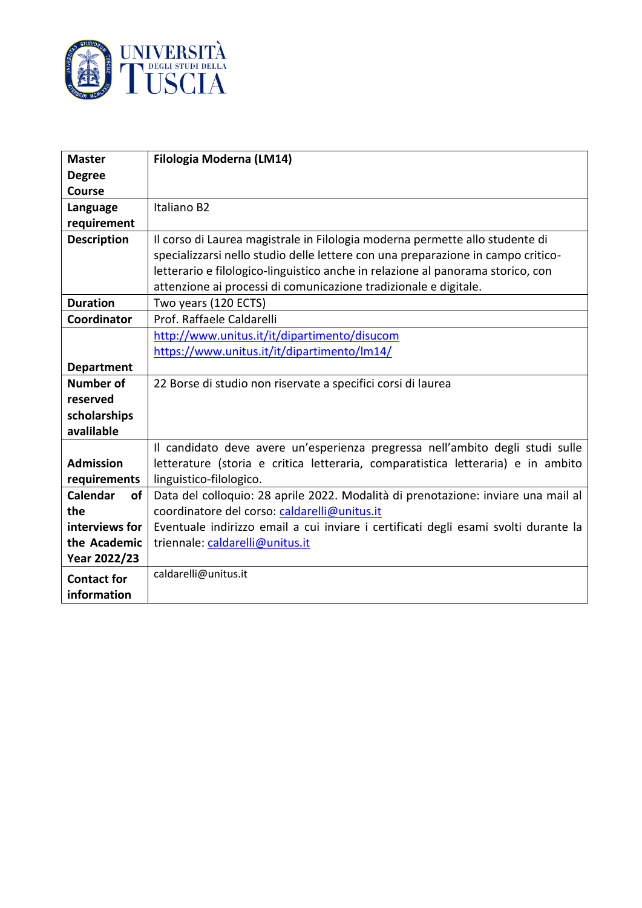

| <b>Master</b>      | Filologia Moderna (LM14)                                                            |
|--------------------|-------------------------------------------------------------------------------------|
| <b>Degree</b>      |                                                                                     |
| <b>Course</b>      |                                                                                     |
| Language           | Italiano B2                                                                         |
| requirement        |                                                                                     |
| <b>Description</b> | Il corso di Laurea magistrale in Filologia moderna permette allo studente di        |
|                    | specializzarsi nello studio delle lettere con una preparazione in campo critico-    |
|                    | letterario e filologico-linguistico anche in relazione al panorama storico, con     |
|                    | attenzione ai processi di comunicazione tradizionale e digitale.                    |
| <b>Duration</b>    | Two years (120 ECTS)                                                                |
| Coordinator        | Prof. Raffaele Caldarelli                                                           |
|                    | http://www.unitus.it/it/dipartimento/disucom                                        |
|                    | https://www.unitus.it/it/dipartimento/lm14/                                         |
| <b>Department</b>  |                                                                                     |
| <b>Number of</b>   | 22 Borse di studio non riservate a specifici corsi di laurea                        |
| reserved           |                                                                                     |
| scholarships       |                                                                                     |
| avalilable         |                                                                                     |
|                    | Il candidato deve avere un'esperienza pregressa nell'ambito degli studi sulle       |
| <b>Admission</b>   | letterature (storia e critica letteraria, comparatistica letteraria) e in ambito    |
| requirements       | linguistico-filologico.                                                             |
| Calendar<br>of     | Data del colloquio: 28 aprile 2022. Modalità di prenotazione: inviare una mail al   |
| the                | coordinatore del corso: caldarelli@unitus.it                                        |
| interviews for     | Eventuale indirizzo email a cui inviare i certificati degli esami svolti durante la |
| the Academic       | triennale: caldarelli@unitus.it                                                     |
| Year 2022/23       |                                                                                     |
| <b>Contact for</b> | caldarelli@unitus.it                                                                |
| information        |                                                                                     |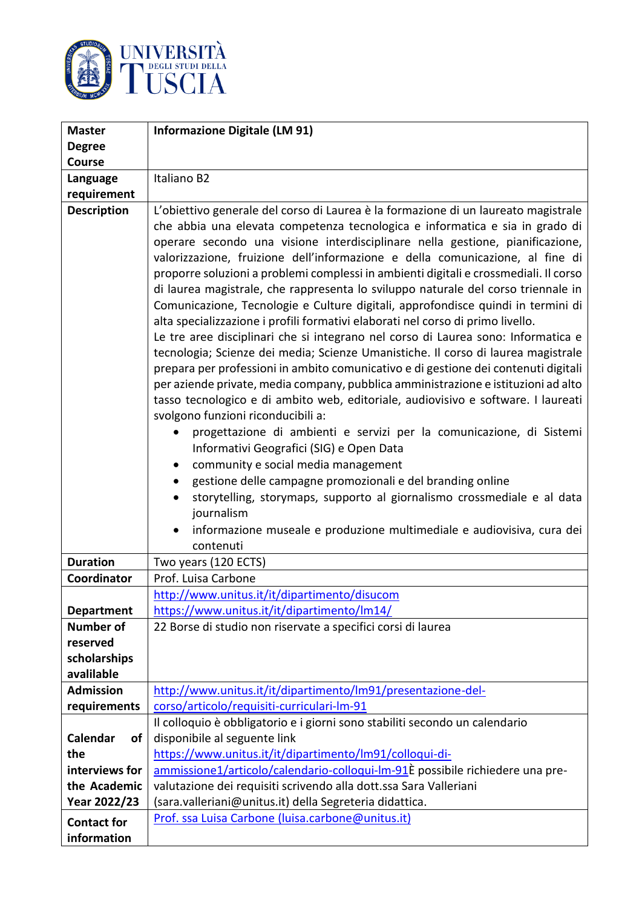

| <b>Master</b>                         | <b>Informazione Digitale (LM 91)</b>                                                                                                                                                                                                                                                                                                                                                                                                                                                                                                                                                                                                                                                                                                                                                                                                                                                                                                                                                                                                                                                                                                                                                                                                                                                                                                                                                                                                                                                                                                                                                                                |
|---------------------------------------|---------------------------------------------------------------------------------------------------------------------------------------------------------------------------------------------------------------------------------------------------------------------------------------------------------------------------------------------------------------------------------------------------------------------------------------------------------------------------------------------------------------------------------------------------------------------------------------------------------------------------------------------------------------------------------------------------------------------------------------------------------------------------------------------------------------------------------------------------------------------------------------------------------------------------------------------------------------------------------------------------------------------------------------------------------------------------------------------------------------------------------------------------------------------------------------------------------------------------------------------------------------------------------------------------------------------------------------------------------------------------------------------------------------------------------------------------------------------------------------------------------------------------------------------------------------------------------------------------------------------|
| <b>Degree</b>                         |                                                                                                                                                                                                                                                                                                                                                                                                                                                                                                                                                                                                                                                                                                                                                                                                                                                                                                                                                                                                                                                                                                                                                                                                                                                                                                                                                                                                                                                                                                                                                                                                                     |
| <b>Course</b>                         |                                                                                                                                                                                                                                                                                                                                                                                                                                                                                                                                                                                                                                                                                                                                                                                                                                                                                                                                                                                                                                                                                                                                                                                                                                                                                                                                                                                                                                                                                                                                                                                                                     |
| Language                              | Italiano B2                                                                                                                                                                                                                                                                                                                                                                                                                                                                                                                                                                                                                                                                                                                                                                                                                                                                                                                                                                                                                                                                                                                                                                                                                                                                                                                                                                                                                                                                                                                                                                                                         |
| requirement                           |                                                                                                                                                                                                                                                                                                                                                                                                                                                                                                                                                                                                                                                                                                                                                                                                                                                                                                                                                                                                                                                                                                                                                                                                                                                                                                                                                                                                                                                                                                                                                                                                                     |
| <b>Description</b>                    | L'obiettivo generale del corso di Laurea è la formazione di un laureato magistrale<br>che abbia una elevata competenza tecnologica e informatica e sia in grado di<br>operare secondo una visione interdisciplinare nella gestione, pianificazione,<br>valorizzazione, fruizione dell'informazione e della comunicazione, al fine di<br>proporre soluzioni a problemi complessi in ambienti digitali e crossmediali. Il corso<br>di laurea magistrale, che rappresenta lo sviluppo naturale del corso triennale in<br>Comunicazione, Tecnologie e Culture digitali, approfondisce quindi in termini di<br>alta specializzazione i profili formativi elaborati nel corso di primo livello.<br>Le tre aree disciplinari che si integrano nel corso di Laurea sono: Informatica e<br>tecnologia; Scienze dei media; Scienze Umanistiche. Il corso di laurea magistrale<br>prepara per professioni in ambito comunicativo e di gestione dei contenuti digitali<br>per aziende private, media company, pubblica amministrazione e istituzioni ad alto<br>tasso tecnologico e di ambito web, editoriale, audiovisivo e software. I laureati<br>svolgono funzioni riconducibili a:<br>progettazione di ambienti e servizi per la comunicazione, di Sistemi<br>Informativi Geografici (SIG) e Open Data<br>community e social media management<br>$\bullet$<br>gestione delle campagne promozionali e del branding online<br>$\bullet$<br>storytelling, storymaps, supporto al giornalismo crossmediale e al data<br>$\bullet$<br>journalism<br>informazione museale e produzione multimediale e audiovisiva, cura dei<br>٠ |
| <b>Duration</b>                       | contenuti                                                                                                                                                                                                                                                                                                                                                                                                                                                                                                                                                                                                                                                                                                                                                                                                                                                                                                                                                                                                                                                                                                                                                                                                                                                                                                                                                                                                                                                                                                                                                                                                           |
|                                       | Two years (120 ECTS)                                                                                                                                                                                                                                                                                                                                                                                                                                                                                                                                                                                                                                                                                                                                                                                                                                                                                                                                                                                                                                                                                                                                                                                                                                                                                                                                                                                                                                                                                                                                                                                                |
| Coordinator                           | Prof. Luisa Carbone                                                                                                                                                                                                                                                                                                                                                                                                                                                                                                                                                                                                                                                                                                                                                                                                                                                                                                                                                                                                                                                                                                                                                                                                                                                                                                                                                                                                                                                                                                                                                                                                 |
|                                       | http://www.unitus.it/it/dipartimento/disucom                                                                                                                                                                                                                                                                                                                                                                                                                                                                                                                                                                                                                                                                                                                                                                                                                                                                                                                                                                                                                                                                                                                                                                                                                                                                                                                                                                                                                                                                                                                                                                        |
| <b>Department</b><br><b>Number of</b> | https://www.unitus.it/it/dipartimento/lm14/                                                                                                                                                                                                                                                                                                                                                                                                                                                                                                                                                                                                                                                                                                                                                                                                                                                                                                                                                                                                                                                                                                                                                                                                                                                                                                                                                                                                                                                                                                                                                                         |
| reserved                              | 22 Borse di studio non riservate a specifici corsi di laurea                                                                                                                                                                                                                                                                                                                                                                                                                                                                                                                                                                                                                                                                                                                                                                                                                                                                                                                                                                                                                                                                                                                                                                                                                                                                                                                                                                                                                                                                                                                                                        |
| scholarships                          |                                                                                                                                                                                                                                                                                                                                                                                                                                                                                                                                                                                                                                                                                                                                                                                                                                                                                                                                                                                                                                                                                                                                                                                                                                                                                                                                                                                                                                                                                                                                                                                                                     |
| avalilable                            |                                                                                                                                                                                                                                                                                                                                                                                                                                                                                                                                                                                                                                                                                                                                                                                                                                                                                                                                                                                                                                                                                                                                                                                                                                                                                                                                                                                                                                                                                                                                                                                                                     |
| <b>Admission</b>                      | http://www.unitus.it/it/dipartimento/lm91/presentazione-del-                                                                                                                                                                                                                                                                                                                                                                                                                                                                                                                                                                                                                                                                                                                                                                                                                                                                                                                                                                                                                                                                                                                                                                                                                                                                                                                                                                                                                                                                                                                                                        |
| requirements                          | corso/articolo/requisiti-curriculari-lm-91                                                                                                                                                                                                                                                                                                                                                                                                                                                                                                                                                                                                                                                                                                                                                                                                                                                                                                                                                                                                                                                                                                                                                                                                                                                                                                                                                                                                                                                                                                                                                                          |
|                                       | Il colloquio è obbligatorio e i giorni sono stabiliti secondo un calendario                                                                                                                                                                                                                                                                                                                                                                                                                                                                                                                                                                                                                                                                                                                                                                                                                                                                                                                                                                                                                                                                                                                                                                                                                                                                                                                                                                                                                                                                                                                                         |
| Calendar<br>of                        | disponibile al seguente link                                                                                                                                                                                                                                                                                                                                                                                                                                                                                                                                                                                                                                                                                                                                                                                                                                                                                                                                                                                                                                                                                                                                                                                                                                                                                                                                                                                                                                                                                                                                                                                        |
| the                                   | https://www.unitus.it/it/dipartimento/lm91/colloqui-di-                                                                                                                                                                                                                                                                                                                                                                                                                                                                                                                                                                                                                                                                                                                                                                                                                                                                                                                                                                                                                                                                                                                                                                                                                                                                                                                                                                                                                                                                                                                                                             |
| interviews for                        | ammissione1/articolo/calendario-colloqui-lm-91È possibile richiedere una pre-                                                                                                                                                                                                                                                                                                                                                                                                                                                                                                                                                                                                                                                                                                                                                                                                                                                                                                                                                                                                                                                                                                                                                                                                                                                                                                                                                                                                                                                                                                                                       |
| the Academic                          | valutazione dei requisiti scrivendo alla dott.ssa Sara Valleriani                                                                                                                                                                                                                                                                                                                                                                                                                                                                                                                                                                                                                                                                                                                                                                                                                                                                                                                                                                                                                                                                                                                                                                                                                                                                                                                                                                                                                                                                                                                                                   |
| Year 2022/23                          | (sara.valleriani@unitus.it) della Segreteria didattica.                                                                                                                                                                                                                                                                                                                                                                                                                                                                                                                                                                                                                                                                                                                                                                                                                                                                                                                                                                                                                                                                                                                                                                                                                                                                                                                                                                                                                                                                                                                                                             |
| <b>Contact for</b>                    | Prof. ssa Luisa Carbone (luisa.carbone@unitus.it)                                                                                                                                                                                                                                                                                                                                                                                                                                                                                                                                                                                                                                                                                                                                                                                                                                                                                                                                                                                                                                                                                                                                                                                                                                                                                                                                                                                                                                                                                                                                                                   |
| information                           |                                                                                                                                                                                                                                                                                                                                                                                                                                                                                                                                                                                                                                                                                                                                                                                                                                                                                                                                                                                                                                                                                                                                                                                                                                                                                                                                                                                                                                                                                                                                                                                                                     |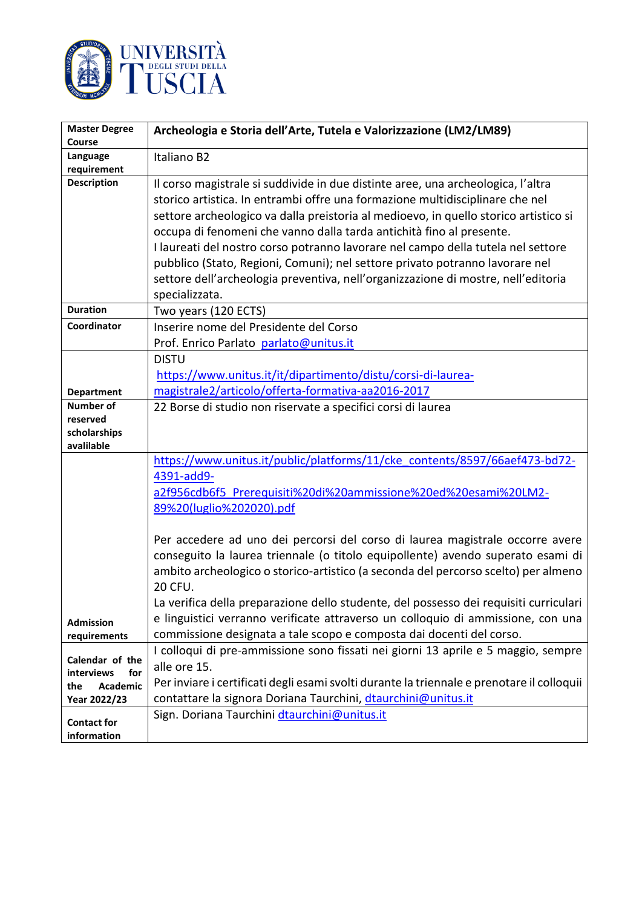

| <b>Master Degree</b>     | Archeologia e Storia dell'Arte, Tutela e Valorizzazione (LM2/LM89)                         |
|--------------------------|--------------------------------------------------------------------------------------------|
| Course                   |                                                                                            |
| Language<br>requirement  | Italiano B2                                                                                |
| <b>Description</b>       | Il corso magistrale si suddivide in due distinte aree, una archeologica, l'altra           |
|                          | storico artistica. In entrambi offre una formazione multidisciplinare che nel              |
|                          | settore archeologico va dalla preistoria al medioevo, in quello storico artistico si       |
|                          | occupa di fenomeni che vanno dalla tarda antichità fino al presente.                       |
|                          | I laureati del nostro corso potranno lavorare nel campo della tutela nel settore           |
|                          | pubblico (Stato, Regioni, Comuni); nel settore privato potranno lavorare nel               |
|                          | settore dell'archeologia preventiva, nell'organizzazione di mostre, nell'editoria          |
|                          | specializzata.                                                                             |
| <b>Duration</b>          | Two years (120 ECTS)                                                                       |
| Coordinator              | Inserire nome del Presidente del Corso                                                     |
|                          | Prof. Enrico Parlato parlato@unitus.it                                                     |
|                          | <b>DISTU</b>                                                                               |
|                          | https://www.unitus.it/it/dipartimento/distu/corsi-di-laurea-                               |
| <b>Department</b>        | magistrale2/articolo/offerta-formativa-aa2016-2017                                         |
| <b>Number of</b>         | 22 Borse di studio non riservate a specifici corsi di laurea                               |
| reserved<br>scholarships |                                                                                            |
| avalilable               |                                                                                            |
|                          | https://www.unitus.it/public/platforms/11/cke_contents/8597/66aef473-bd72-                 |
|                          | 4391-add9-                                                                                 |
|                          | a2f956cdb6f5 Prerequisiti%20di%20ammissione%20ed%20esami%20LM2-                            |
|                          | 89%20(luglio%202020).pdf                                                                   |
|                          | Per accedere ad uno dei percorsi del corso di laurea magistrale occorre avere              |
|                          | conseguito la laurea triennale (o titolo equipollente) avendo superato esami di            |
|                          | ambito archeologico o storico-artistico (a seconda del percorso scelto) per almeno         |
|                          | <b>20 CFU.</b>                                                                             |
|                          | La verifica della preparazione dello studente, del possesso dei requisiti curriculari      |
| <b>Admission</b>         | e linguistici verranno verificate attraverso un colloquio di ammissione, con una           |
| requirements             | commissione designata a tale scopo e composta dai docenti del corso.                       |
| Calendar of the          | I colloqui di pre-ammissione sono fissati nei giorni 13 aprile e 5 maggio, sempre          |
| interviews<br>for        | alle ore 15.                                                                               |
| Academic<br>the          | Per inviare i certificati degli esami svolti durante la triennale e prenotare il colloquii |
| Year 2022/23             | contattare la signora Doriana Taurchini, dtaurchini@unitus.it                              |
| <b>Contact for</b>       | Sign. Doriana Taurchini dtaurchini@unitus.it                                               |
| information              |                                                                                            |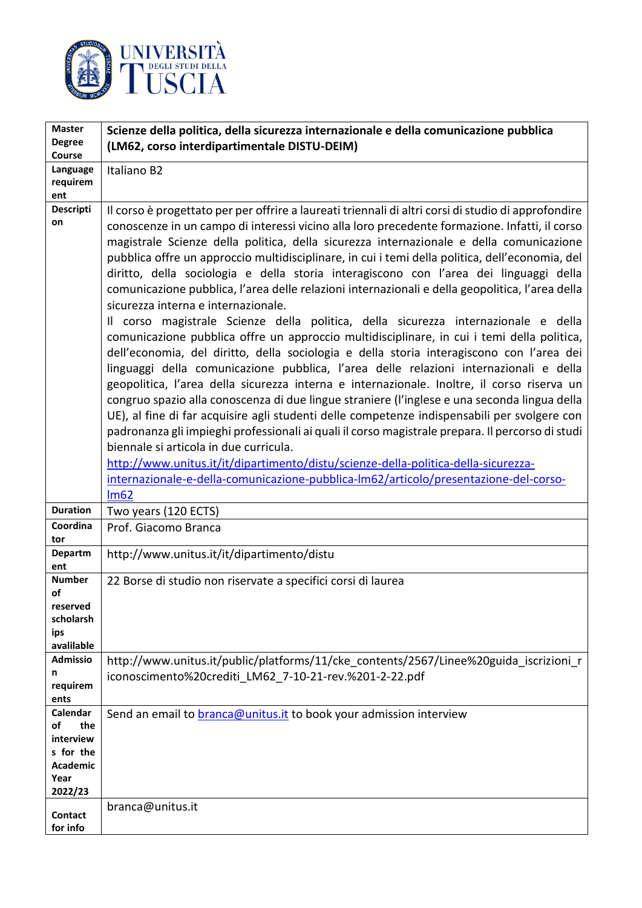

| <b>Master</b><br><b>Degree</b>                                                        | Scienze della politica, della sicurezza internazionale e della comunicazione pubblica                                                                                                                                                                                                                                                                                                                                                                                                                                                                                                                                                                                                                                                                                                                                                                                                                                                                                                                                                                                                                                                                                                                                                                                                                                                                                                                                                                                                                                                                                                                                                            |
|---------------------------------------------------------------------------------------|--------------------------------------------------------------------------------------------------------------------------------------------------------------------------------------------------------------------------------------------------------------------------------------------------------------------------------------------------------------------------------------------------------------------------------------------------------------------------------------------------------------------------------------------------------------------------------------------------------------------------------------------------------------------------------------------------------------------------------------------------------------------------------------------------------------------------------------------------------------------------------------------------------------------------------------------------------------------------------------------------------------------------------------------------------------------------------------------------------------------------------------------------------------------------------------------------------------------------------------------------------------------------------------------------------------------------------------------------------------------------------------------------------------------------------------------------------------------------------------------------------------------------------------------------------------------------------------------------------------------------------------------------|
| Course                                                                                | (LM62, corso interdipartimentale DISTU-DEIM)                                                                                                                                                                                                                                                                                                                                                                                                                                                                                                                                                                                                                                                                                                                                                                                                                                                                                                                                                                                                                                                                                                                                                                                                                                                                                                                                                                                                                                                                                                                                                                                                     |
| Language<br>requirem<br>ent                                                           | Italiano B2                                                                                                                                                                                                                                                                                                                                                                                                                                                                                                                                                                                                                                                                                                                                                                                                                                                                                                                                                                                                                                                                                                                                                                                                                                                                                                                                                                                                                                                                                                                                                                                                                                      |
| <b>Descripti</b><br>on                                                                | Il corso è progettato per per offrire a laureati triennali di altri corsi di studio di approfondire<br>conoscenze in un campo di interessi vicino alla loro precedente formazione. Infatti, il corso<br>magistrale Scienze della politica, della sicurezza internazionale e della comunicazione<br>pubblica offre un approccio multidisciplinare, in cui i temi della politica, dell'economia, del<br>diritto, della sociologia e della storia interagiscono con l'area dei linguaggi della<br>comunicazione pubblica, l'area delle relazioni internazionali e della geopolitica, l'area della<br>sicurezza interna e internazionale.<br>Il corso magistrale Scienze della politica, della sicurezza internazionale e della<br>comunicazione pubblica offre un approccio multidisciplinare, in cui i temi della politica,<br>dell'economia, del diritto, della sociologia e della storia interagiscono con l'area dei<br>linguaggi della comunicazione pubblica, l'area delle relazioni internazionali e della<br>geopolitica, l'area della sicurezza interna e internazionale. Inoltre, il corso riserva un<br>congruo spazio alla conoscenza di due lingue straniere (l'inglese e una seconda lingua della<br>UE), al fine di far acquisire agli studenti delle competenze indispensabili per svolgere con<br>padronanza gli impieghi professionali ai quali il corso magistrale prepara. Il percorso di studi<br>biennale si articola in due curricula.<br>http://www.unitus.it/it/dipartimento/distu/scienze-della-politica-della-sicurezza-<br>internazionale-e-della-comunicazione-pubblica-lm62/articolo/presentazione-del-corso-<br>Im62 |
| <b>Duration</b>                                                                       | Two years (120 ECTS)                                                                                                                                                                                                                                                                                                                                                                                                                                                                                                                                                                                                                                                                                                                                                                                                                                                                                                                                                                                                                                                                                                                                                                                                                                                                                                                                                                                                                                                                                                                                                                                                                             |
| Coordina<br>tor                                                                       | Prof. Giacomo Branca                                                                                                                                                                                                                                                                                                                                                                                                                                                                                                                                                                                                                                                                                                                                                                                                                                                                                                                                                                                                                                                                                                                                                                                                                                                                                                                                                                                                                                                                                                                                                                                                                             |
| <b>Departm</b><br>ent                                                                 | http://www.unitus.it/it/dipartimento/distu                                                                                                                                                                                                                                                                                                                                                                                                                                                                                                                                                                                                                                                                                                                                                                                                                                                                                                                                                                                                                                                                                                                                                                                                                                                                                                                                                                                                                                                                                                                                                                                                       |
| <b>Number</b><br>οf<br>reserved<br>scholarsh<br>ips<br>avalilable                     | 22 Borse di studio non riservate a specifici corsi di laurea                                                                                                                                                                                                                                                                                                                                                                                                                                                                                                                                                                                                                                                                                                                                                                                                                                                                                                                                                                                                                                                                                                                                                                                                                                                                                                                                                                                                                                                                                                                                                                                     |
| <b>Admissio</b><br>n<br>requirem<br>ents                                              | http://www.unitus.it/public/platforms/11/cke contents/2567/Linee%20guida iscrizioni r<br>iconoscimento%20crediti LM62 7-10-21-rev.%201-2-22.pdf                                                                                                                                                                                                                                                                                                                                                                                                                                                                                                                                                                                                                                                                                                                                                                                                                                                                                                                                                                                                                                                                                                                                                                                                                                                                                                                                                                                                                                                                                                  |
| Calendar<br>of<br>the<br>interview<br>s for the<br><b>Academic</b><br>Year<br>2022/23 | Send an email to <b>branca@unitus.it</b> to book your admission interview                                                                                                                                                                                                                                                                                                                                                                                                                                                                                                                                                                                                                                                                                                                                                                                                                                                                                                                                                                                                                                                                                                                                                                                                                                                                                                                                                                                                                                                                                                                                                                        |
| Contact<br>for info                                                                   | branca@unitus.it                                                                                                                                                                                                                                                                                                                                                                                                                                                                                                                                                                                                                                                                                                                                                                                                                                                                                                                                                                                                                                                                                                                                                                                                                                                                                                                                                                                                                                                                                                                                                                                                                                 |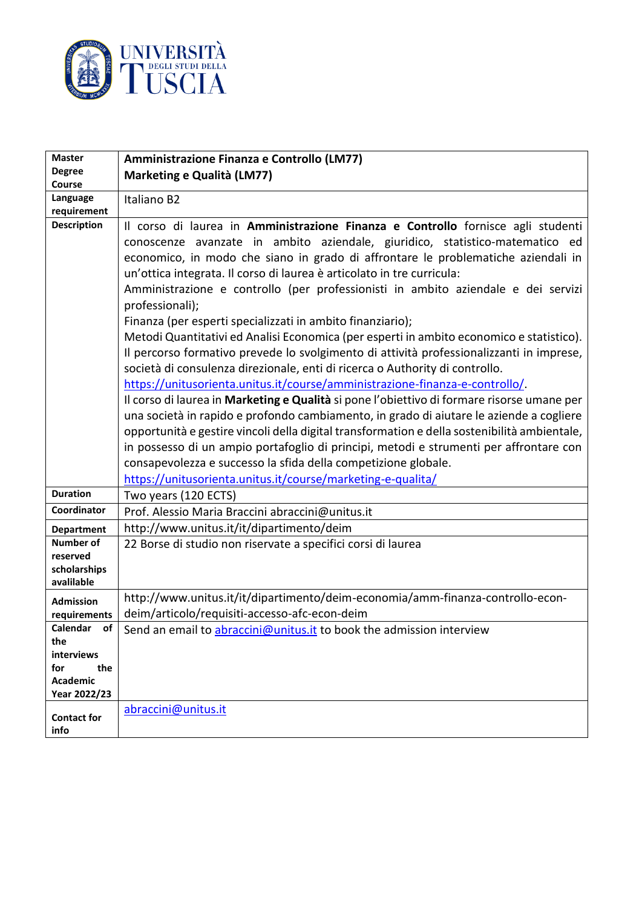

| <b>Master</b>                          | Amministrazione Finanza e Controllo (LM77)                                                                                                                                                                                                                                                                                                                                                                                                                                                                                                                                                                                                                                                                                                                                                                                                                                                                                                                                                                                                                                                                                                                                                                                                                                                                         |
|----------------------------------------|--------------------------------------------------------------------------------------------------------------------------------------------------------------------------------------------------------------------------------------------------------------------------------------------------------------------------------------------------------------------------------------------------------------------------------------------------------------------------------------------------------------------------------------------------------------------------------------------------------------------------------------------------------------------------------------------------------------------------------------------------------------------------------------------------------------------------------------------------------------------------------------------------------------------------------------------------------------------------------------------------------------------------------------------------------------------------------------------------------------------------------------------------------------------------------------------------------------------------------------------------------------------------------------------------------------------|
| <b>Degree</b>                          | Marketing e Qualità (LM77)                                                                                                                                                                                                                                                                                                                                                                                                                                                                                                                                                                                                                                                                                                                                                                                                                                                                                                                                                                                                                                                                                                                                                                                                                                                                                         |
| Course<br>Language                     | Italiano B2                                                                                                                                                                                                                                                                                                                                                                                                                                                                                                                                                                                                                                                                                                                                                                                                                                                                                                                                                                                                                                                                                                                                                                                                                                                                                                        |
| requirement                            |                                                                                                                                                                                                                                                                                                                                                                                                                                                                                                                                                                                                                                                                                                                                                                                                                                                                                                                                                                                                                                                                                                                                                                                                                                                                                                                    |
| <b>Description</b>                     | Il corso di laurea in Amministrazione Finanza e Controllo fornisce agli studenti<br>conoscenze avanzate in ambito aziendale, giuridico, statistico-matematico ed<br>economico, in modo che siano in grado di affrontare le problematiche aziendali in<br>un'ottica integrata. Il corso di laurea è articolato in tre curricula:<br>Amministrazione e controllo (per professionisti in ambito aziendale e dei servizi<br>professionali);<br>Finanza (per esperti specializzati in ambito finanziario);<br>Metodi Quantitativi ed Analisi Economica (per esperti in ambito economico e statistico).<br>Il percorso formativo prevede lo svolgimento di attività professionalizzanti in imprese,<br>società di consulenza direzionale, enti di ricerca o Authority di controllo.<br>https://unitusorienta.unitus.it/course/amministrazione-finanza-e-controllo/.<br>Il corso di laurea in Marketing e Qualità si pone l'obiettivo di formare risorse umane per<br>una società in rapido e profondo cambiamento, in grado di aiutare le aziende a cogliere<br>opportunità e gestire vincoli della digital transformation e della sostenibilità ambientale,<br>in possesso di un ampio portafoglio di principi, metodi e strumenti per affrontare con<br>consapevolezza e successo la sfida della competizione globale. |
| <b>Duration</b>                        | https://unitusorienta.unitus.it/course/marketing-e-qualita/<br>Two years (120 ECTS)                                                                                                                                                                                                                                                                                                                                                                                                                                                                                                                                                                                                                                                                                                                                                                                                                                                                                                                                                                                                                                                                                                                                                                                                                                |
| Coordinator                            | Prof. Alessio Maria Braccini abraccini@unitus.it                                                                                                                                                                                                                                                                                                                                                                                                                                                                                                                                                                                                                                                                                                                                                                                                                                                                                                                                                                                                                                                                                                                                                                                                                                                                   |
| <b>Department</b>                      | http://www.unitus.it/it/dipartimento/deim                                                                                                                                                                                                                                                                                                                                                                                                                                                                                                                                                                                                                                                                                                                                                                                                                                                                                                                                                                                                                                                                                                                                                                                                                                                                          |
| <b>Number of</b>                       | 22 Borse di studio non riservate a specifici corsi di laurea                                                                                                                                                                                                                                                                                                                                                                                                                                                                                                                                                                                                                                                                                                                                                                                                                                                                                                                                                                                                                                                                                                                                                                                                                                                       |
| reserved<br>scholarships<br>avalilable |                                                                                                                                                                                                                                                                                                                                                                                                                                                                                                                                                                                                                                                                                                                                                                                                                                                                                                                                                                                                                                                                                                                                                                                                                                                                                                                    |
| <b>Admission</b><br>requirements       | http://www.unitus.it/it/dipartimento/deim-economia/amm-finanza-controllo-econ-<br>deim/articolo/requisiti-accesso-afc-econ-deim                                                                                                                                                                                                                                                                                                                                                                                                                                                                                                                                                                                                                                                                                                                                                                                                                                                                                                                                                                                                                                                                                                                                                                                    |
| Calendar<br>of                         | Send an email to abraccini@unitus.it to book the admission interview                                                                                                                                                                                                                                                                                                                                                                                                                                                                                                                                                                                                                                                                                                                                                                                                                                                                                                                                                                                                                                                                                                                                                                                                                                               |
| the                                    |                                                                                                                                                                                                                                                                                                                                                                                                                                                                                                                                                                                                                                                                                                                                                                                                                                                                                                                                                                                                                                                                                                                                                                                                                                                                                                                    |
| interviews<br>the<br>for               |                                                                                                                                                                                                                                                                                                                                                                                                                                                                                                                                                                                                                                                                                                                                                                                                                                                                                                                                                                                                                                                                                                                                                                                                                                                                                                                    |
| <b>Academic</b>                        |                                                                                                                                                                                                                                                                                                                                                                                                                                                                                                                                                                                                                                                                                                                                                                                                                                                                                                                                                                                                                                                                                                                                                                                                                                                                                                                    |
| Year 2022/23                           |                                                                                                                                                                                                                                                                                                                                                                                                                                                                                                                                                                                                                                                                                                                                                                                                                                                                                                                                                                                                                                                                                                                                                                                                                                                                                                                    |
| <b>Contact for</b><br>info             | abraccini@unitus.it                                                                                                                                                                                                                                                                                                                                                                                                                                                                                                                                                                                                                                                                                                                                                                                                                                                                                                                                                                                                                                                                                                                                                                                                                                                                                                |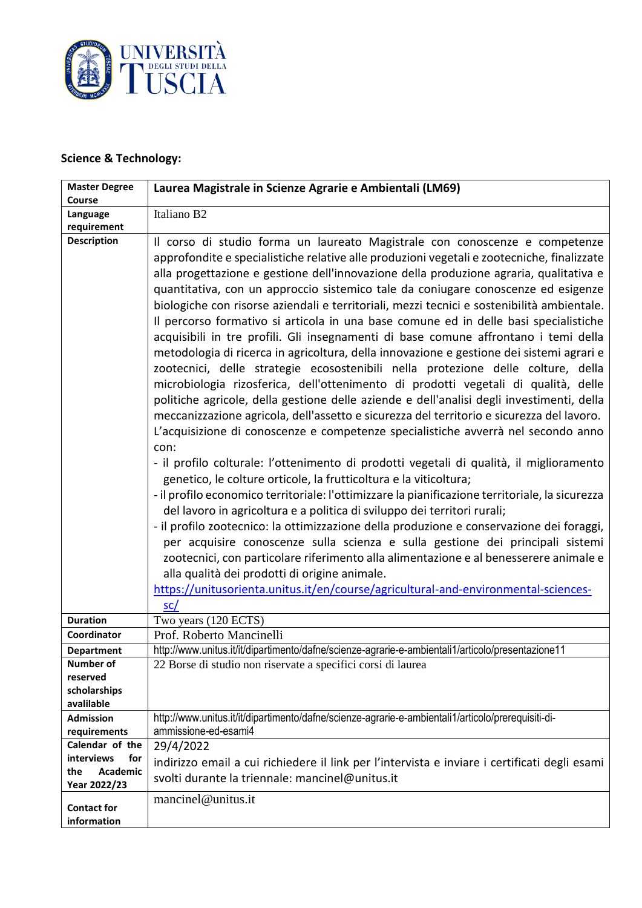

# **Science & Technology:**

| <b>Master Degree</b>                   | Laurea Magistrale in Scienze Agrarie e Ambientali (LM69)                                                                                                                                                                                                                                                                                                                                                                                                                                                                                                                                                                                                                                                                                                                                                                                                                                                                                                                                                                                                                                                                                                                                                                                                                                                                                                                                                                                                                                                                                                                                                                                                                                                                                                                                                                                                                                                                                                               |
|----------------------------------------|------------------------------------------------------------------------------------------------------------------------------------------------------------------------------------------------------------------------------------------------------------------------------------------------------------------------------------------------------------------------------------------------------------------------------------------------------------------------------------------------------------------------------------------------------------------------------------------------------------------------------------------------------------------------------------------------------------------------------------------------------------------------------------------------------------------------------------------------------------------------------------------------------------------------------------------------------------------------------------------------------------------------------------------------------------------------------------------------------------------------------------------------------------------------------------------------------------------------------------------------------------------------------------------------------------------------------------------------------------------------------------------------------------------------------------------------------------------------------------------------------------------------------------------------------------------------------------------------------------------------------------------------------------------------------------------------------------------------------------------------------------------------------------------------------------------------------------------------------------------------------------------------------------------------------------------------------------------------|
| Course                                 |                                                                                                                                                                                                                                                                                                                                                                                                                                                                                                                                                                                                                                                                                                                                                                                                                                                                                                                                                                                                                                                                                                                                                                                                                                                                                                                                                                                                                                                                                                                                                                                                                                                                                                                                                                                                                                                                                                                                                                        |
| Language<br>requirement                | Italiano B2                                                                                                                                                                                                                                                                                                                                                                                                                                                                                                                                                                                                                                                                                                                                                                                                                                                                                                                                                                                                                                                                                                                                                                                                                                                                                                                                                                                                                                                                                                                                                                                                                                                                                                                                                                                                                                                                                                                                                            |
| <b>Description</b>                     | Il corso di studio forma un laureato Magistrale con conoscenze e competenze<br>approfondite e specialistiche relative alle produzioni vegetali e zootecniche, finalizzate<br>alla progettazione e gestione dell'innovazione della produzione agraria, qualitativa e<br>quantitativa, con un approccio sistemico tale da coniugare conoscenze ed esigenze<br>biologiche con risorse aziendali e territoriali, mezzi tecnici e sostenibilità ambientale.<br>Il percorso formativo si articola in una base comune ed in delle basi specialistiche<br>acquisibili in tre profili. Gli insegnamenti di base comune affrontano i temi della<br>metodologia di ricerca in agricoltura, della innovazione e gestione dei sistemi agrari e<br>zootecnici, delle strategie ecosostenibili nella protezione delle colture, della<br>microbiologia rizosferica, dell'ottenimento di prodotti vegetali di qualità, delle<br>politiche agricole, della gestione delle aziende e dell'analisi degli investimenti, della<br>meccanizzazione agricola, dell'assetto e sicurezza del territorio e sicurezza del lavoro.<br>L'acquisizione di conoscenze e competenze specialistiche avverrà nel secondo anno<br>con:<br>- il profilo colturale: l'ottenimento di prodotti vegetali di qualità, il miglioramento<br>genetico, le colture orticole, la frutticoltura e la viticoltura;<br>- il profilo economico territoriale: l'ottimizzare la pianificazione territoriale, la sicurezza<br>del lavoro in agricoltura e a politica di sviluppo dei territori rurali;<br>- il profilo zootecnico: la ottimizzazione della produzione e conservazione dei foraggi,<br>per acquisire conoscenze sulla scienza e sulla gestione dei principali sistemi<br>zootecnici, con particolare riferimento alla alimentazione e al benesserere animale e<br>alla qualità dei prodotti di origine animale.<br>https://unitusorienta.unitus.it/en/course/agricultural-and-environmental-sciences-<br>sc/ |
| <b>Duration</b>                        | Two years (120 ECTS)                                                                                                                                                                                                                                                                                                                                                                                                                                                                                                                                                                                                                                                                                                                                                                                                                                                                                                                                                                                                                                                                                                                                                                                                                                                                                                                                                                                                                                                                                                                                                                                                                                                                                                                                                                                                                                                                                                                                                   |
| Coordinator                            | Prof. Roberto Mancinelli                                                                                                                                                                                                                                                                                                                                                                                                                                                                                                                                                                                                                                                                                                                                                                                                                                                                                                                                                                                                                                                                                                                                                                                                                                                                                                                                                                                                                                                                                                                                                                                                                                                                                                                                                                                                                                                                                                                                               |
| <b>Department</b>                      | http://www.unitus.it/it/dipartimento/dafne/scienze-agrarie-e-ambientali1/articolo/presentazione11                                                                                                                                                                                                                                                                                                                                                                                                                                                                                                                                                                                                                                                                                                                                                                                                                                                                                                                                                                                                                                                                                                                                                                                                                                                                                                                                                                                                                                                                                                                                                                                                                                                                                                                                                                                                                                                                      |
| Number of                              | 22 Borse di studio non riservate a specifici corsi di laurea                                                                                                                                                                                                                                                                                                                                                                                                                                                                                                                                                                                                                                                                                                                                                                                                                                                                                                                                                                                                                                                                                                                                                                                                                                                                                                                                                                                                                                                                                                                                                                                                                                                                                                                                                                                                                                                                                                           |
| reserved                               |                                                                                                                                                                                                                                                                                                                                                                                                                                                                                                                                                                                                                                                                                                                                                                                                                                                                                                                                                                                                                                                                                                                                                                                                                                                                                                                                                                                                                                                                                                                                                                                                                                                                                                                                                                                                                                                                                                                                                                        |
| scholarships<br>avalilable             |                                                                                                                                                                                                                                                                                                                                                                                                                                                                                                                                                                                                                                                                                                                                                                                                                                                                                                                                                                                                                                                                                                                                                                                                                                                                                                                                                                                                                                                                                                                                                                                                                                                                                                                                                                                                                                                                                                                                                                        |
| <b>Admission</b>                       | http://www.unitus.it/it/dipartimento/dafne/scienze-agrarie-e-ambientali1/articolo/prerequisiti-di-                                                                                                                                                                                                                                                                                                                                                                                                                                                                                                                                                                                                                                                                                                                                                                                                                                                                                                                                                                                                                                                                                                                                                                                                                                                                                                                                                                                                                                                                                                                                                                                                                                                                                                                                                                                                                                                                     |
| requirements                           | ammissione-ed-esami4                                                                                                                                                                                                                                                                                                                                                                                                                                                                                                                                                                                                                                                                                                                                                                                                                                                                                                                                                                                                                                                                                                                                                                                                                                                                                                                                                                                                                                                                                                                                                                                                                                                                                                                                                                                                                                                                                                                                                   |
| Calendar of the                        | 29/4/2022                                                                                                                                                                                                                                                                                                                                                                                                                                                                                                                                                                                                                                                                                                                                                                                                                                                                                                                                                                                                                                                                                                                                                                                                                                                                                                                                                                                                                                                                                                                                                                                                                                                                                                                                                                                                                                                                                                                                                              |
| <b>interviews</b><br>for               | indirizzo email a cui richiedere il link per l'intervista e inviare i certificati degli esami                                                                                                                                                                                                                                                                                                                                                                                                                                                                                                                                                                                                                                                                                                                                                                                                                                                                                                                                                                                                                                                                                                                                                                                                                                                                                                                                                                                                                                                                                                                                                                                                                                                                                                                                                                                                                                                                          |
| <b>Academic</b><br>the<br>Year 2022/23 | svolti durante la triennale: mancinel@unitus.it                                                                                                                                                                                                                                                                                                                                                                                                                                                                                                                                                                                                                                                                                                                                                                                                                                                                                                                                                                                                                                                                                                                                                                                                                                                                                                                                                                                                                                                                                                                                                                                                                                                                                                                                                                                                                                                                                                                        |
| <b>Contact for</b><br>information      | mancinel@unitus.it                                                                                                                                                                                                                                                                                                                                                                                                                                                                                                                                                                                                                                                                                                                                                                                                                                                                                                                                                                                                                                                                                                                                                                                                                                                                                                                                                                                                                                                                                                                                                                                                                                                                                                                                                                                                                                                                                                                                                     |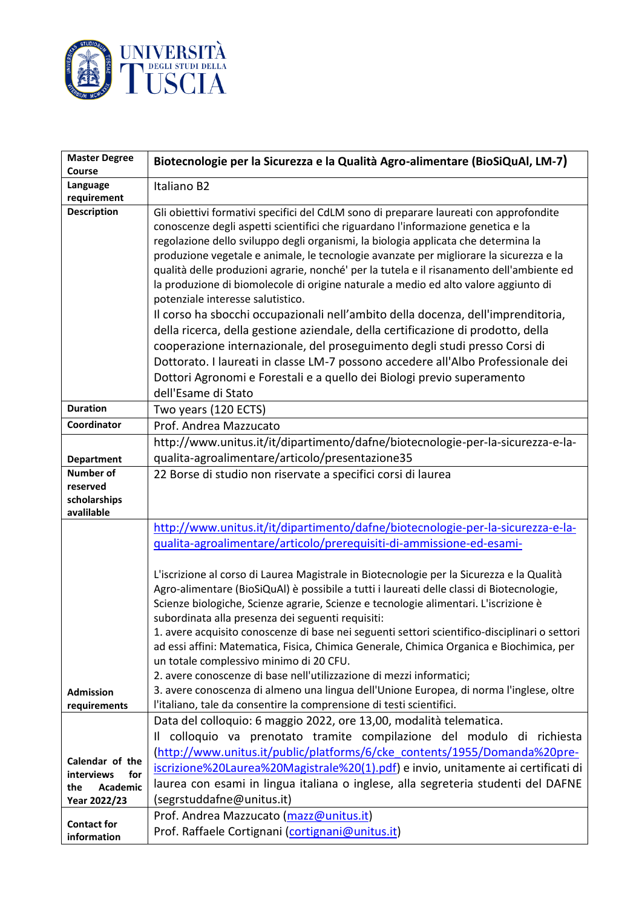

| <b>Master Degree</b><br><b>Course</b>                                                                | Biotecnologie per la Sicurezza e la Qualità Agro-alimentare (BioSiQuAl, LM-7)                                                                                                                                                                                                                                                                                                                                                                                                                                                                                                                                                                                                                                                                                                                                                                                                                                                                                                                                                  |
|------------------------------------------------------------------------------------------------------|--------------------------------------------------------------------------------------------------------------------------------------------------------------------------------------------------------------------------------------------------------------------------------------------------------------------------------------------------------------------------------------------------------------------------------------------------------------------------------------------------------------------------------------------------------------------------------------------------------------------------------------------------------------------------------------------------------------------------------------------------------------------------------------------------------------------------------------------------------------------------------------------------------------------------------------------------------------------------------------------------------------------------------|
| Language                                                                                             | Italiano B2                                                                                                                                                                                                                                                                                                                                                                                                                                                                                                                                                                                                                                                                                                                                                                                                                                                                                                                                                                                                                    |
| requirement                                                                                          |                                                                                                                                                                                                                                                                                                                                                                                                                                                                                                                                                                                                                                                                                                                                                                                                                                                                                                                                                                                                                                |
| <b>Description</b>                                                                                   | Gli obiettivi formativi specifici del CdLM sono di preparare laureati con approfondite<br>conoscenze degli aspetti scientifici che riguardano l'informazione genetica e la<br>regolazione dello sviluppo degli organismi, la biologia applicata che determina la<br>produzione vegetale e animale, le tecnologie avanzate per migliorare la sicurezza e la<br>qualità delle produzioni agrarie, nonché' per la tutela e il risanamento dell'ambiente ed<br>la produzione di biomolecole di origine naturale a medio ed alto valore aggiunto di<br>potenziale interesse salutistico.<br>Il corso ha sbocchi occupazionali nell'ambito della docenza, dell'imprenditoria,<br>della ricerca, della gestione aziendale, della certificazione di prodotto, della<br>cooperazione internazionale, del proseguimento degli studi presso Corsi di<br>Dottorato. I laureati in classe LM-7 possono accedere all'Albo Professionale dei<br>Dottori Agronomi e Forestali e a quello dei Biologi previo superamento<br>dell'Esame di Stato |
| <b>Duration</b>                                                                                      | Two years (120 ECTS)                                                                                                                                                                                                                                                                                                                                                                                                                                                                                                                                                                                                                                                                                                                                                                                                                                                                                                                                                                                                           |
| Coordinator                                                                                          | Prof. Andrea Mazzucato                                                                                                                                                                                                                                                                                                                                                                                                                                                                                                                                                                                                                                                                                                                                                                                                                                                                                                                                                                                                         |
|                                                                                                      | http://www.unitus.it/it/dipartimento/dafne/biotecnologie-per-la-sicurezza-e-la-                                                                                                                                                                                                                                                                                                                                                                                                                                                                                                                                                                                                                                                                                                                                                                                                                                                                                                                                                |
| <b>Department</b>                                                                                    | qualita-agroalimentare/articolo/presentazione35                                                                                                                                                                                                                                                                                                                                                                                                                                                                                                                                                                                                                                                                                                                                                                                                                                                                                                                                                                                |
| <b>Number of</b>                                                                                     | 22 Borse di studio non riservate a specifici corsi di laurea                                                                                                                                                                                                                                                                                                                                                                                                                                                                                                                                                                                                                                                                                                                                                                                                                                                                                                                                                                   |
| reserved<br>scholarships                                                                             |                                                                                                                                                                                                                                                                                                                                                                                                                                                                                                                                                                                                                                                                                                                                                                                                                                                                                                                                                                                                                                |
| avalilable                                                                                           |                                                                                                                                                                                                                                                                                                                                                                                                                                                                                                                                                                                                                                                                                                                                                                                                                                                                                                                                                                                                                                |
|                                                                                                      | http://www.unitus.it/it/dipartimento/dafne/biotecnologie-per-la-sicurezza-e-la-                                                                                                                                                                                                                                                                                                                                                                                                                                                                                                                                                                                                                                                                                                                                                                                                                                                                                                                                                |
|                                                                                                      | gualita-agroalimentare/articolo/prerequisiti-di-ammissione-ed-esami-                                                                                                                                                                                                                                                                                                                                                                                                                                                                                                                                                                                                                                                                                                                                                                                                                                                                                                                                                           |
| <b>Admission</b>                                                                                     | L'iscrizione al corso di Laurea Magistrale in Biotecnologie per la Sicurezza e la Qualità<br>Agro-alimentare (BioSiQuAl) è possibile a tutti i laureati delle classi di Biotecnologie,<br>Scienze biologiche, Scienze agrarie, Scienze e tecnologie alimentari. L'iscrizione è<br>subordinata alla presenza dei seguenti requisiti:<br>1. avere acquisito conoscenze di base nei seguenti settori scientifico-disciplinari o settori<br>ad essi affini: Matematica, Fisica, Chimica Generale, Chimica Organica e Biochimica, per<br>un totale complessivo minimo di 20 CFU.<br>2. avere conoscenze di base nell'utilizzazione di mezzi informatici;<br>3. avere conoscenza di almeno una lingua dell'Unione Europea, di norma l'inglese, oltre                                                                                                                                                                                                                                                                                 |
| requirements                                                                                         | l'italiano, tale da consentire la comprensione di testi scientifici.                                                                                                                                                                                                                                                                                                                                                                                                                                                                                                                                                                                                                                                                                                                                                                                                                                                                                                                                                           |
| Calendar of the<br>for<br><b>interviews</b><br>Academic<br>the<br>Year 2022/23<br><b>Contact for</b> | Data del colloquio: 6 maggio 2022, ore 13,00, modalità telematica.<br>Il colloquio va prenotato tramite compilazione del modulo di richiesta<br>(http://www.unitus.it/public/platforms/6/cke_contents/1955/Domanda%20pre-<br>iscrizione%20Laurea%20Magistrale%20(1).pdf) e invio, unitamente ai certificati di<br>laurea con esami in lingua italiana o inglese, alla segreteria studenti del DAFNE<br>(segrstuddafne@unitus.it)<br>Prof. Andrea Mazzucato (mazz@unitus.it)                                                                                                                                                                                                                                                                                                                                                                                                                                                                                                                                                    |
| information                                                                                          | Prof. Raffaele Cortignani (cortignani@unitus.it)                                                                                                                                                                                                                                                                                                                                                                                                                                                                                                                                                                                                                                                                                                                                                                                                                                                                                                                                                                               |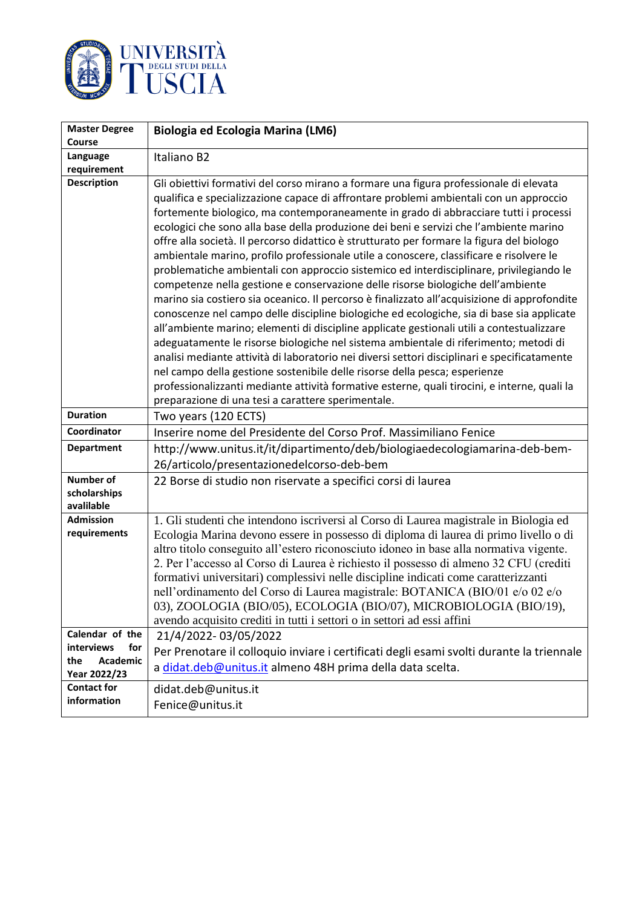

| <b>Master Degree</b>                                                           | Biologia ed Ecologia Marina (LM6)                                                                                                                                                                                                                                                                                                                                                                                                                                                                                                                                                                                                                                                                                                                                                                                                                                                                                                                                                                                                                                                                                                                                                                                                                                                                                                                                                                                                                               |
|--------------------------------------------------------------------------------|-----------------------------------------------------------------------------------------------------------------------------------------------------------------------------------------------------------------------------------------------------------------------------------------------------------------------------------------------------------------------------------------------------------------------------------------------------------------------------------------------------------------------------------------------------------------------------------------------------------------------------------------------------------------------------------------------------------------------------------------------------------------------------------------------------------------------------------------------------------------------------------------------------------------------------------------------------------------------------------------------------------------------------------------------------------------------------------------------------------------------------------------------------------------------------------------------------------------------------------------------------------------------------------------------------------------------------------------------------------------------------------------------------------------------------------------------------------------|
| <b>Course</b><br>Language                                                      | Italiano B2                                                                                                                                                                                                                                                                                                                                                                                                                                                                                                                                                                                                                                                                                                                                                                                                                                                                                                                                                                                                                                                                                                                                                                                                                                                                                                                                                                                                                                                     |
| requirement                                                                    |                                                                                                                                                                                                                                                                                                                                                                                                                                                                                                                                                                                                                                                                                                                                                                                                                                                                                                                                                                                                                                                                                                                                                                                                                                                                                                                                                                                                                                                                 |
| <b>Description</b>                                                             | Gli obiettivi formativi del corso mirano a formare una figura professionale di elevata<br>qualifica e specializzazione capace di affrontare problemi ambientali con un approccio<br>fortemente biologico, ma contemporaneamente in grado di abbracciare tutti i processi<br>ecologici che sono alla base della produzione dei beni e servizi che l'ambiente marino<br>offre alla società. Il percorso didattico è strutturato per formare la figura del biologo<br>ambientale marino, profilo professionale utile a conoscere, classificare e risolvere le<br>problematiche ambientali con approccio sistemico ed interdisciplinare, privilegiando le<br>competenze nella gestione e conservazione delle risorse biologiche dell'ambiente<br>marino sia costiero sia oceanico. Il percorso è finalizzato all'acquisizione di approfondite<br>conoscenze nel campo delle discipline biologiche ed ecologiche, sia di base sia applicate<br>all'ambiente marino; elementi di discipline applicate gestionali utili a contestualizzare<br>adeguatamente le risorse biologiche nel sistema ambientale di riferimento; metodi di<br>analisi mediante attività di laboratorio nei diversi settori disciplinari e specificatamente<br>nel campo della gestione sostenibile delle risorse della pesca; esperienze<br>professionalizzanti mediante attività formative esterne, quali tirocini, e interne, quali la<br>preparazione di una tesi a carattere sperimentale. |
| <b>Duration</b>                                                                | Two years (120 ECTS)                                                                                                                                                                                                                                                                                                                                                                                                                                                                                                                                                                                                                                                                                                                                                                                                                                                                                                                                                                                                                                                                                                                                                                                                                                                                                                                                                                                                                                            |
| Coordinator                                                                    | Inserire nome del Presidente del Corso Prof. Massimiliano Fenice                                                                                                                                                                                                                                                                                                                                                                                                                                                                                                                                                                                                                                                                                                                                                                                                                                                                                                                                                                                                                                                                                                                                                                                                                                                                                                                                                                                                |
| <b>Department</b>                                                              | http://www.unitus.it/it/dipartimento/deb/biologiaedecologiamarina-deb-bem-                                                                                                                                                                                                                                                                                                                                                                                                                                                                                                                                                                                                                                                                                                                                                                                                                                                                                                                                                                                                                                                                                                                                                                                                                                                                                                                                                                                      |
|                                                                                | 26/articolo/presentazionedelcorso-deb-bem                                                                                                                                                                                                                                                                                                                                                                                                                                                                                                                                                                                                                                                                                                                                                                                                                                                                                                                                                                                                                                                                                                                                                                                                                                                                                                                                                                                                                       |
| Number of<br>scholarships<br>avalilable                                        | 22 Borse di studio non riservate a specifici corsi di laurea                                                                                                                                                                                                                                                                                                                                                                                                                                                                                                                                                                                                                                                                                                                                                                                                                                                                                                                                                                                                                                                                                                                                                                                                                                                                                                                                                                                                    |
| <b>Admission</b><br>requirements                                               | 1. Gli studenti che intendono iscriversi al Corso di Laurea magistrale in Biologia ed<br>Ecologia Marina devono essere in possesso di diploma di laurea di primo livello o di<br>altro titolo conseguito all'estero riconosciuto idoneo in base alla normativa vigente.<br>2. Per l'accesso al Corso di Laurea è richiesto il possesso di almeno 32 CFU (crediti<br>formativi universitari) complessivi nelle discipline indicati come caratterizzanti<br>nell'ordinamento del Corso di Laurea magistrale: BOTANICA (BIO/01 e/o 02 e/o<br>03), ZOOLOGIA (BIO/05), ECOLOGIA (BIO/07), MICROBIOLOGIA (BIO/19),<br>avendo acquisito crediti in tutti i settori o in settori ad essi affini                                                                                                                                                                                                                                                                                                                                                                                                                                                                                                                                                                                                                                                                                                                                                                         |
| Calendar of the<br>for<br><b>interviews</b><br>Academic<br>the<br>Year 2022/23 | 21/4/2022-03/05/2022<br>Per Prenotare il colloquio inviare i certificati degli esami svolti durante la triennale<br>a didat.deb@unitus.it almeno 48H prima della data scelta.                                                                                                                                                                                                                                                                                                                                                                                                                                                                                                                                                                                                                                                                                                                                                                                                                                                                                                                                                                                                                                                                                                                                                                                                                                                                                   |
| <b>Contact for</b><br>information                                              | didat.deb@unitus.it<br>Fenice@unitus.it                                                                                                                                                                                                                                                                                                                                                                                                                                                                                                                                                                                                                                                                                                                                                                                                                                                                                                                                                                                                                                                                                                                                                                                                                                                                                                                                                                                                                         |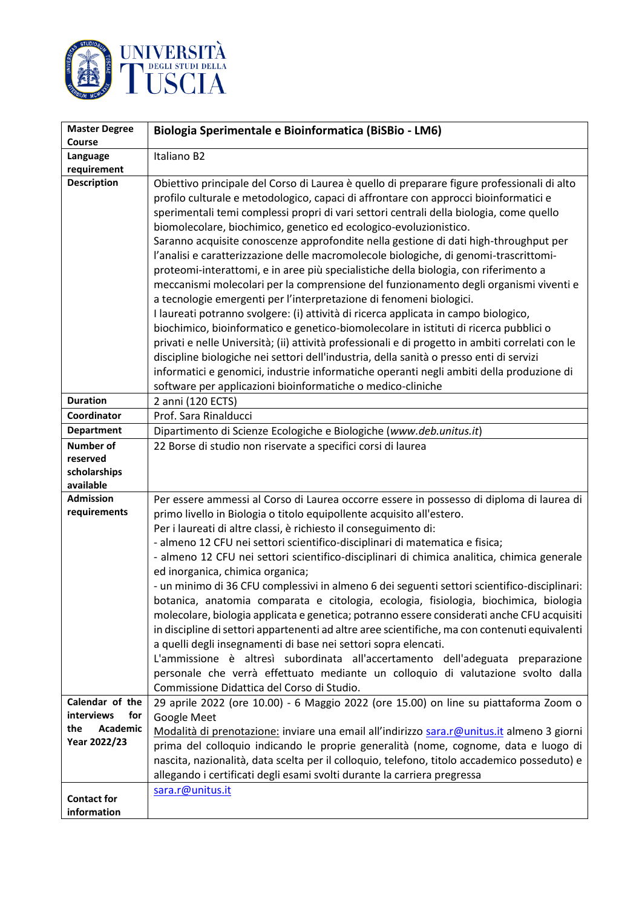

| <b>Master Degree</b>                                                    | Biologia Sperimentale e Bioinformatica (BiSBio - LM6)                                                                                                                                                                                                                                                                                                                                                                                                                                                                                                                                                                                                                                                                                                                                                                                                                                                                                                                                                                                                                                                                                                                                                                                                                                                                                  |
|-------------------------------------------------------------------------|----------------------------------------------------------------------------------------------------------------------------------------------------------------------------------------------------------------------------------------------------------------------------------------------------------------------------------------------------------------------------------------------------------------------------------------------------------------------------------------------------------------------------------------------------------------------------------------------------------------------------------------------------------------------------------------------------------------------------------------------------------------------------------------------------------------------------------------------------------------------------------------------------------------------------------------------------------------------------------------------------------------------------------------------------------------------------------------------------------------------------------------------------------------------------------------------------------------------------------------------------------------------------------------------------------------------------------------|
| <b>Course</b>                                                           |                                                                                                                                                                                                                                                                                                                                                                                                                                                                                                                                                                                                                                                                                                                                                                                                                                                                                                                                                                                                                                                                                                                                                                                                                                                                                                                                        |
| Language                                                                | Italiano B2                                                                                                                                                                                                                                                                                                                                                                                                                                                                                                                                                                                                                                                                                                                                                                                                                                                                                                                                                                                                                                                                                                                                                                                                                                                                                                                            |
| requirement                                                             |                                                                                                                                                                                                                                                                                                                                                                                                                                                                                                                                                                                                                                                                                                                                                                                                                                                                                                                                                                                                                                                                                                                                                                                                                                                                                                                                        |
| <b>Description</b>                                                      | Obiettivo principale del Corso di Laurea è quello di preparare figure professionali di alto<br>profilo culturale e metodologico, capaci di affrontare con approcci bioinformatici e<br>sperimentali temi complessi propri di vari settori centrali della biologia, come quello<br>biomolecolare, biochimico, genetico ed ecologico-evoluzionistico.<br>Saranno acquisite conoscenze approfondite nella gestione di dati high-throughput per<br>l'analisi e caratterizzazione delle macromolecole biologiche, di genomi-trascrittomi-<br>proteomi-interattomi, e in aree più specialistiche della biologia, con riferimento a<br>meccanismi molecolari per la comprensione del funzionamento degli organismi viventi e<br>a tecnologie emergenti per l'interpretazione di fenomeni biologici.<br>I laureati potranno svolgere: (i) attività di ricerca applicata in campo biologico,<br>biochimico, bioinformatico e genetico-biomolecolare in istituti di ricerca pubblici o<br>privati e nelle Università; (ii) attività professionali e di progetto in ambiti correlati con le<br>discipline biologiche nei settori dell'industria, della sanità o presso enti di servizi<br>informatici e genomici, industrie informatiche operanti negli ambiti della produzione di<br>software per applicazioni bioinformatiche o medico-cliniche |
| <b>Duration</b>                                                         | 2 anni (120 ECTS)                                                                                                                                                                                                                                                                                                                                                                                                                                                                                                                                                                                                                                                                                                                                                                                                                                                                                                                                                                                                                                                                                                                                                                                                                                                                                                                      |
| Coordinator                                                             | Prof. Sara Rinalducci                                                                                                                                                                                                                                                                                                                                                                                                                                                                                                                                                                                                                                                                                                                                                                                                                                                                                                                                                                                                                                                                                                                                                                                                                                                                                                                  |
| <b>Department</b>                                                       | Dipartimento di Scienze Ecologiche e Biologiche (www.deb.unitus.it)                                                                                                                                                                                                                                                                                                                                                                                                                                                                                                                                                                                                                                                                                                                                                                                                                                                                                                                                                                                                                                                                                                                                                                                                                                                                    |
| <b>Number of</b><br>reserved<br>scholarships<br>available               | 22 Borse di studio non riservate a specifici corsi di laurea                                                                                                                                                                                                                                                                                                                                                                                                                                                                                                                                                                                                                                                                                                                                                                                                                                                                                                                                                                                                                                                                                                                                                                                                                                                                           |
| <b>Admission</b><br>requirements                                        | Per essere ammessi al Corso di Laurea occorre essere in possesso di diploma di laurea di<br>primo livello in Biologia o titolo equipollente acquisito all'estero.<br>Per i laureati di altre classi, è richiesto il conseguimento di:<br>- almeno 12 CFU nei settori scientifico-disciplinari di matematica e fisica;<br>- almeno 12 CFU nei settori scientifico-disciplinari di chimica analitica, chimica generale<br>ed inorganica, chimica organica;<br>- un minimo di 36 CFU complessivi in almeno 6 dei seguenti settori scientifico-disciplinari:<br>botanica, anatomia comparata e citologia, ecologia, fisiologia, biochimica, biologia<br>molecolare, biologia applicata e genetica; potranno essere considerati anche CFU acquisiti<br>in discipline di settori appartenenti ad altre aree scientifiche, ma con contenuti equivalenti<br>a quelli degli insegnamenti di base nei settori sopra elencati.<br>L'ammissione è altresì subordinata all'accertamento dell'adeguata preparazione<br>personale che verrà effettuato mediante un colloquio di valutazione svolto dalla<br>Commissione Didattica del Corso di Studio.                                                                                                                                                                                                |
| Calendar of the<br>interviews<br>for<br>Academic<br>the<br>Year 2022/23 | 29 aprile 2022 (ore 10.00) - 6 Maggio 2022 (ore 15.00) on line su piattaforma Zoom o<br>Google Meet<br>Modalità di prenotazione: inviare una email all'indirizzo sara.r@unitus.it almeno 3 giorni<br>prima del colloquio indicando le proprie generalità (nome, cognome, data e luogo di<br>nascita, nazionalità, data scelta per il colloquio, telefono, titolo accademico posseduto) e<br>allegando i certificati degli esami svolti durante la carriera pregressa                                                                                                                                                                                                                                                                                                                                                                                                                                                                                                                                                                                                                                                                                                                                                                                                                                                                   |
| <b>Contact for</b><br>information                                       | sara.r@unitus.it                                                                                                                                                                                                                                                                                                                                                                                                                                                                                                                                                                                                                                                                                                                                                                                                                                                                                                                                                                                                                                                                                                                                                                                                                                                                                                                       |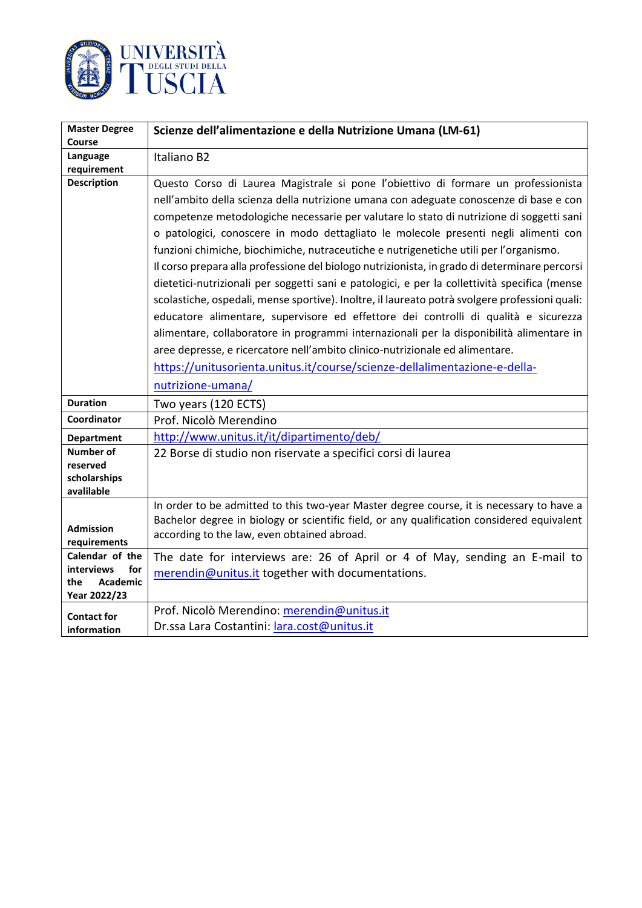

| <b>Master Degree</b>            | Scienze dell'alimentazione e della Nutrizione Umana (LM-61)                                    |
|---------------------------------|------------------------------------------------------------------------------------------------|
| Course                          |                                                                                                |
| Language<br>requirement         | Italiano B2                                                                                    |
| <b>Description</b>              | Questo Corso di Laurea Magistrale si pone l'obiettivo di formare un professionista             |
|                                 | nell'ambito della scienza della nutrizione umana con adeguate conoscenze di base e con         |
|                                 | competenze metodologiche necessarie per valutare lo stato di nutrizione di soggetti sani       |
|                                 | o patologici, conoscere in modo dettagliato le molecole presenti negli alimenti con            |
|                                 | funzioni chimiche, biochimiche, nutraceutiche e nutrigenetiche utili per l'organismo.          |
|                                 | Il corso prepara alla professione del biologo nutrizionista, in grado di determinare percorsi  |
|                                 | dietetici-nutrizionali per soggetti sani e patologici, e per la collettività specifica (mense  |
|                                 | scolastiche, ospedali, mense sportive). Inoltre, il laureato potrà svolgere professioni quali: |
|                                 | educatore alimentare, supervisore ed effettore dei controlli di qualità e sicurezza            |
|                                 | alimentare, collaboratore in programmi internazionali per la disponibilità alimentare in       |
|                                 | aree depresse, e ricercatore nell'ambito clinico-nutrizionale ed alimentare.                   |
|                                 | https://unitusorienta.unitus.it/course/scienze-dellalimentazione-e-della-                      |
|                                 | nutrizione-umana/                                                                              |
| <b>Duration</b>                 | Two years (120 ECTS)                                                                           |
| Coordinator                     | Prof. Nicolò Merendino                                                                         |
| <b>Department</b>               | http://www.unitus.it/it/dipartimento/deb/                                                      |
| Number of                       | 22 Borse di studio non riservate a specifici corsi di laurea                                   |
| reserved<br>scholarships        |                                                                                                |
| avalilable                      |                                                                                                |
|                                 | In order to be admitted to this two-year Master degree course, it is necessary to have a       |
| <b>Admission</b>                | Bachelor degree in biology or scientific field, or any qualification considered equivalent     |
| requirements                    | according to the law, even obtained abroad.                                                    |
| Calendar of the                 | The date for interviews are: 26 of April or 4 of May, sending an E-mail to                     |
| for<br><b>interviews</b>        | merendin@unitus.it together with documentations.                                               |
| Academic<br>the<br>Year 2022/23 |                                                                                                |
| <b>Contact for</b>              | Prof. Nicolò Merendino: merendin@unitus.it                                                     |
| information                     | Dr.ssa Lara Costantini: lara.cost@unitus.it                                                    |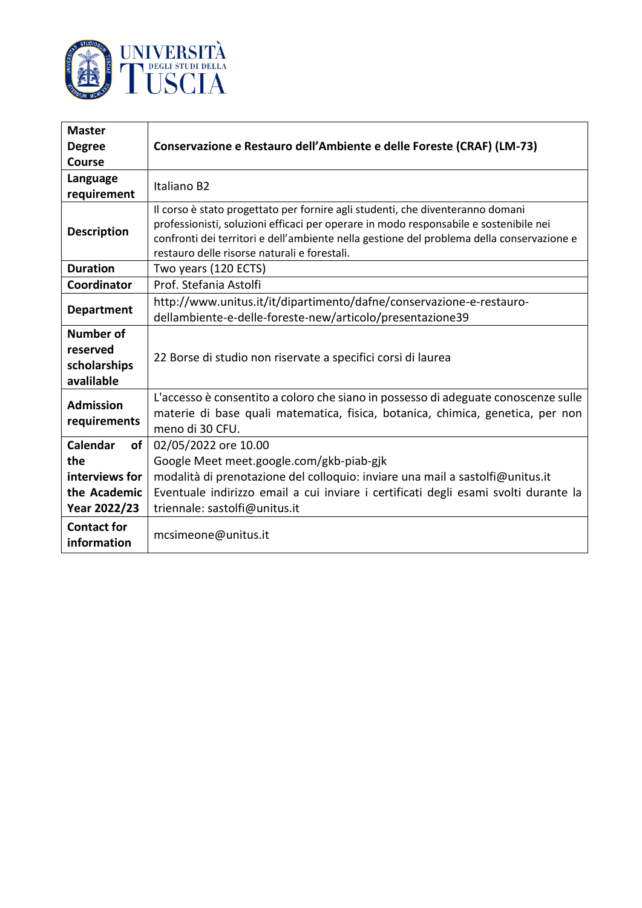

| <b>Master</b>                     |                                                                                           |
|-----------------------------------|-------------------------------------------------------------------------------------------|
| <b>Degree</b>                     | Conservazione e Restauro dell'Ambiente e delle Foreste (CRAF) (LM-73)                     |
| <b>Course</b>                     |                                                                                           |
| Language                          | Italiano B2                                                                               |
| requirement                       |                                                                                           |
| <b>Description</b>                | Il corso è stato progettato per fornire agli studenti, che diventeranno domani            |
|                                   | professionisti, soluzioni efficaci per operare in modo responsabile e sostenibile nei     |
|                                   | confronti dei territori e dell'ambiente nella gestione del problema della conservazione e |
|                                   | restauro delle risorse naturali e forestali.                                              |
| <b>Duration</b>                   | Two years (120 ECTS)                                                                      |
| Coordinator                       | Prof. Stefania Astolfi                                                                    |
| <b>Department</b>                 | http://www.unitus.it/it/dipartimento/dafne/conservazione-e-restauro-                      |
|                                   | dellambiente-e-delle-foreste-new/articolo/presentazione39                                 |
| <b>Number of</b>                  |                                                                                           |
| reserved                          | 22 Borse di studio non riservate a specifici corsi di laurea                              |
| scholarships                      |                                                                                           |
| avalilable                        |                                                                                           |
| <b>Admission</b>                  | L'accesso è consentito a coloro che siano in possesso di adeguate conoscenze sulle        |
|                                   | materie di base quali matematica, fisica, botanica, chimica, genetica, per non            |
| requirements                      | meno di 30 CFU.                                                                           |
| Calendar<br>of                    | 02/05/2022 ore 10.00                                                                      |
| the                               | Google Meet meet.google.com/gkb-piab-gjk                                                  |
| interviews for                    | modalità di prenotazione del colloquio: inviare una mail a sastolfi@unitus.it             |
| the Academic                      | Eventuale indirizzo email a cui inviare i certificati degli esami svolti durante la       |
| Year 2022/23                      | triennale: sastolfi@unitus.it                                                             |
| <b>Contact for</b><br>information | mcsimeone@unitus.it                                                                       |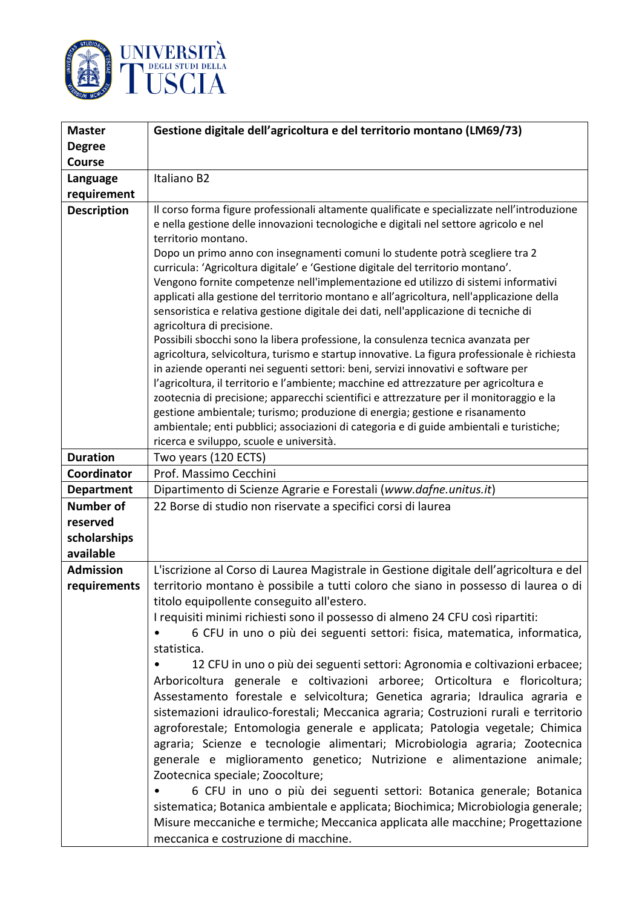

| <b>Master</b>      | Gestione digitale dell'agricoltura e del territorio montano (LM69/73)                                                                                               |
|--------------------|---------------------------------------------------------------------------------------------------------------------------------------------------------------------|
| <b>Degree</b>      |                                                                                                                                                                     |
| <b>Course</b>      |                                                                                                                                                                     |
| Language           | Italiano B2                                                                                                                                                         |
| requirement        |                                                                                                                                                                     |
| <b>Description</b> | Il corso forma figure professionali altamente qualificate e specializzate nell'introduzione                                                                         |
|                    | e nella gestione delle innovazioni tecnologiche e digitali nel settore agricolo e nel                                                                               |
|                    | territorio montano.                                                                                                                                                 |
|                    | Dopo un primo anno con insegnamenti comuni lo studente potrà scegliere tra 2                                                                                        |
|                    | curricula: 'Agricoltura digitale' e 'Gestione digitale del territorio montano'.                                                                                     |
|                    | Vengono fornite competenze nell'implementazione ed utilizzo di sistemi informativi                                                                                  |
|                    | applicati alla gestione del territorio montano e all'agricoltura, nell'applicazione della                                                                           |
|                    | sensoristica e relativa gestione digitale dei dati, nell'applicazione di tecniche di                                                                                |
|                    | agricoltura di precisione.<br>Possibili sbocchi sono la libera professione, la consulenza tecnica avanzata per                                                      |
|                    | agricoltura, selvicoltura, turismo e startup innovative. La figura professionale è richiesta                                                                        |
|                    | in aziende operanti nei seguenti settori: beni, servizi innovativi e software per                                                                                   |
|                    | l'agricoltura, il territorio e l'ambiente; macchine ed attrezzature per agricoltura e                                                                               |
|                    | zootecnia di precisione; apparecchi scientifici e attrezzature per il monitoraggio e la                                                                             |
|                    | gestione ambientale; turismo; produzione di energia; gestione e risanamento                                                                                         |
|                    | ambientale; enti pubblici; associazioni di categoria e di guide ambientali e turistiche;                                                                            |
|                    | ricerca e sviluppo, scuole e università.                                                                                                                            |
| <b>Duration</b>    | Two years (120 ECTS)                                                                                                                                                |
| Coordinator        | Prof. Massimo Cecchini                                                                                                                                              |
| <b>Department</b>  | Dipartimento di Scienze Agrarie e Forestali (www.dafne.unitus.it)                                                                                                   |
| <b>Number of</b>   | 22 Borse di studio non riservate a specifici corsi di laurea                                                                                                        |
| reserved           |                                                                                                                                                                     |
| scholarships       |                                                                                                                                                                     |
|                    |                                                                                                                                                                     |
| available          |                                                                                                                                                                     |
| <b>Admission</b>   | L'iscrizione al Corso di Laurea Magistrale in Gestione digitale dell'agricoltura e del                                                                              |
| requirements       | territorio montano è possibile a tutti coloro che siano in possesso di laurea o di                                                                                  |
|                    | titolo equipollente conseguito all'estero.                                                                                                                          |
|                    | I requisiti minimi richiesti sono il possesso di almeno 24 CFU così ripartiti:                                                                                      |
|                    | 6 CFU in uno o più dei seguenti settori: fisica, matematica, informatica,                                                                                           |
|                    | statistica.                                                                                                                                                         |
|                    | 12 CFU in uno o più dei seguenti settori: Agronomia e coltivazioni erbacee;                                                                                         |
|                    |                                                                                                                                                                     |
|                    | Arboricoltura generale e coltivazioni arboree; Orticoltura e floricoltura;                                                                                          |
|                    | Assestamento forestale e selvicoltura; Genetica agraria; Idraulica agraria e                                                                                        |
|                    | sistemazioni idraulico-forestali; Meccanica agraria; Costruzioni rurali e territorio                                                                                |
|                    | agroforestale; Entomologia generale e applicata; Patologia vegetale; Chimica                                                                                        |
|                    | agraria; Scienze e tecnologie alimentari; Microbiologia agraria; Zootecnica                                                                                         |
|                    | generale e miglioramento genetico; Nutrizione e alimentazione animale;                                                                                              |
|                    | Zootecnica speciale; Zoocolture;                                                                                                                                    |
|                    | 6 CFU in uno o più dei seguenti settori: Botanica generale; Botanica                                                                                                |
|                    | sistematica; Botanica ambientale e applicata; Biochimica; Microbiologia generale;<br>Misure meccaniche e termiche; Meccanica applicata alle macchine; Progettazione |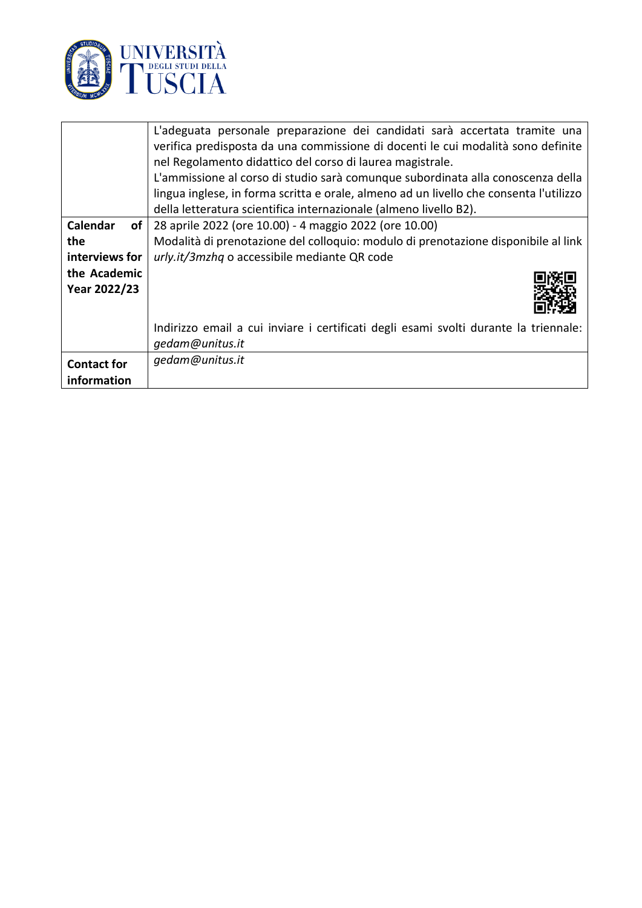

|                              | L'adeguata personale preparazione dei candidati sarà accertata tramite una                              |
|------------------------------|---------------------------------------------------------------------------------------------------------|
|                              | verifica predisposta da una commissione di docenti le cui modalità sono definite                        |
|                              | nel Regolamento didattico del corso di laurea magistrale.                                               |
|                              | L'ammissione al corso di studio sarà comunque subordinata alla conoscenza della                         |
|                              | lingua inglese, in forma scritta e orale, almeno ad un livello che consenta l'utilizzo                  |
|                              | della letteratura scientifica internazionale (almeno livello B2).                                       |
| Calendar<br>of               | 28 aprile 2022 (ore 10.00) - 4 maggio 2022 (ore 10.00)                                                  |
| the                          | Modalità di prenotazione del colloquio: modulo di prenotazione disponibile al link                      |
| interviews for               | urly.it/3mzhq o accessibile mediante QR code                                                            |
| the Academic<br>Year 2022/23 |                                                                                                         |
|                              | Indirizzo email a cui inviare i certificati degli esami svolti durante la triennale:<br>gedam@unitus.it |
| <b>Contact for</b>           | gedam@unitus.it                                                                                         |
| information                  |                                                                                                         |